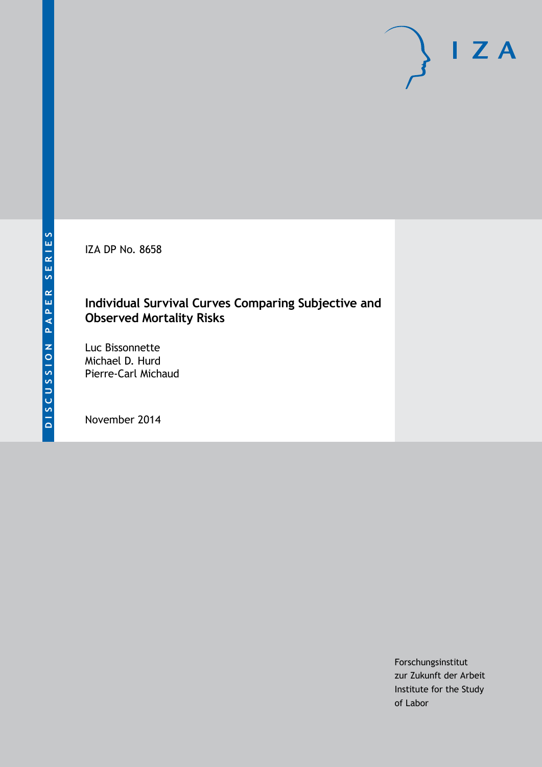IZA DP No. 8658

# **Individual Survival Curves Comparing Subjective and Observed Mortality Risks**

Luc Bissonnette Michael D. Hurd Pierre-Carl Michaud

November 2014

Forschungsinstitut zur Zukunft der Arbeit Institute for the Study of Labor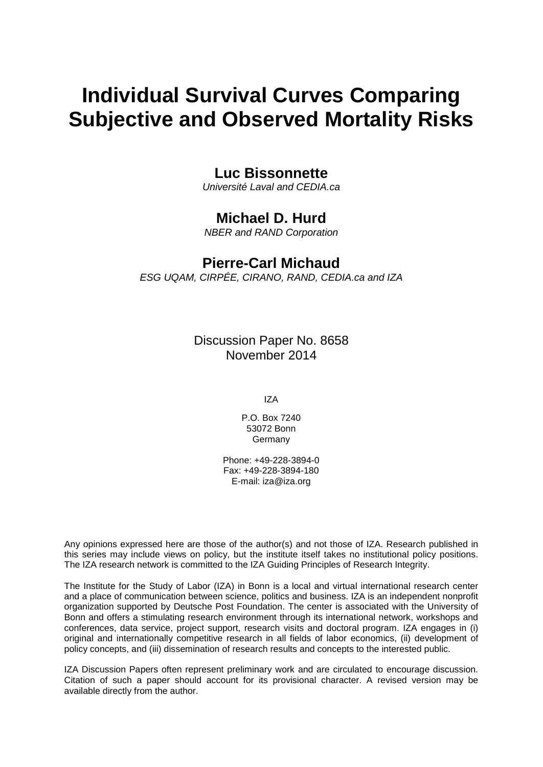# **Individual Survival Curves Comparing Subjective and Observed Mortality Risks**

### **Luc Bissonnette**

*Université Laval and CEDIA.ca*

# **Michael D. Hurd**

*NBER and RAND Corporation*

## **Pierre-Carl Michaud**

*ESG UQAM, CIRPÉE, CIRANO, RAND, CEDIA.ca and IZA*

Discussion Paper No. 8658 November 2014

IZA

P.O. Box 7240 53072 Bonn Germany

Phone: +49-228-3894-0 Fax: +49-228-3894-180 E-mail: [iza@iza.org](mailto:iza@iza.org)

Any opinions expressed here are those of the author(s) and not those of IZA. Research published in this series may include views on policy, but the institute itself takes no institutional policy positions. The IZA research network is committed to the IZA Guiding Principles of Research Integrity.

The Institute for the Study of Labor (IZA) in Bonn is a local and virtual international research center and a place of communication between science, politics and business. IZA is an independent nonprofit organization supported by Deutsche Post Foundation. The center is associated with the University of Bonn and offers a stimulating research environment through its international network, workshops and conferences, data service, project support, research visits and doctoral program. IZA engages in (i) original and internationally competitive research in all fields of labor economics, (ii) development of policy concepts, and (iii) dissemination of research results and concepts to the interested public.

<span id="page-1-0"></span>IZA Discussion Papers often represent preliminary work and are circulated to encourage discussion. Citation of such a paper should account for its provisional character. A revised version may be available directly from the author.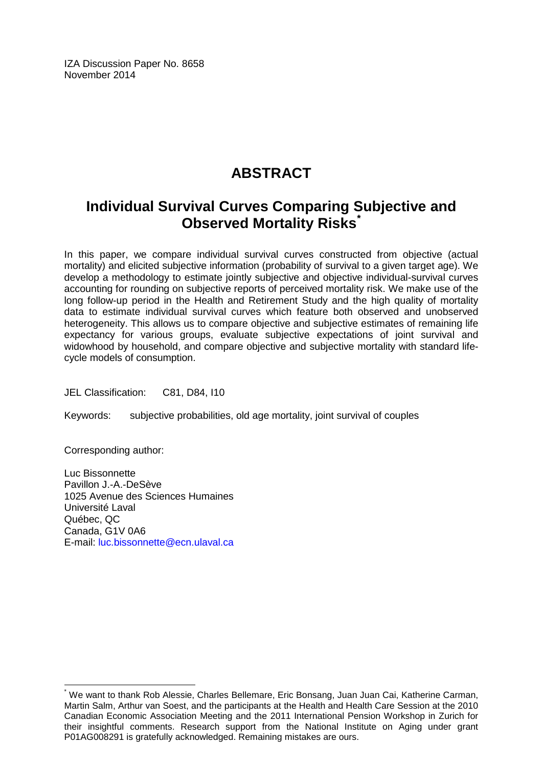IZA Discussion Paper No. 8658 November 2014

# **ABSTRACT**

# **Individual Survival Curves Comparing Subjective and Observed Mortality Risks[\\*](#page-1-0)**

In this paper, we compare individual survival curves constructed from objective (actual mortality) and elicited subjective information (probability of survival to a given target age). We develop a methodology to estimate jointly subjective and objective individual-survival curves accounting for rounding on subjective reports of perceived mortality risk. We make use of the long follow-up period in the Health and Retirement Study and the high quality of mortality data to estimate individual survival curves which feature both observed and unobserved heterogeneity. This allows us to compare objective and subjective estimates of remaining life expectancy for various groups, evaluate subjective expectations of joint survival and widowhood by household, and compare objective and subjective mortality with standard lifecycle models of consumption.

JEL Classification: C81, D84, I10

Keywords: subjective probabilities, old age mortality, joint survival of couples

Corresponding author:

Luc Bissonnette Pavillon J.-A.-DeSève 1025 Avenue des Sciences Humaines Université Laval Québec, QC Canada, G1V 0A6 E-mail: [luc.bissonnette@ecn.ulaval.ca](mailto:luc.bissonnette@ecn.ulaval.ca)

\* We want to thank Rob Alessie, Charles Bellemare, Eric Bonsang, Juan Juan Cai, Katherine Carman, Martin Salm, Arthur van Soest, and the participants at the Health and Health Care Session at the 2010 Canadian Economic Association Meeting and the 2011 International Pension Workshop in Zurich for their insightful comments. Research support from the National Institute on Aging under grant P01AG008291 is gratefully acknowledged. Remaining mistakes are ours.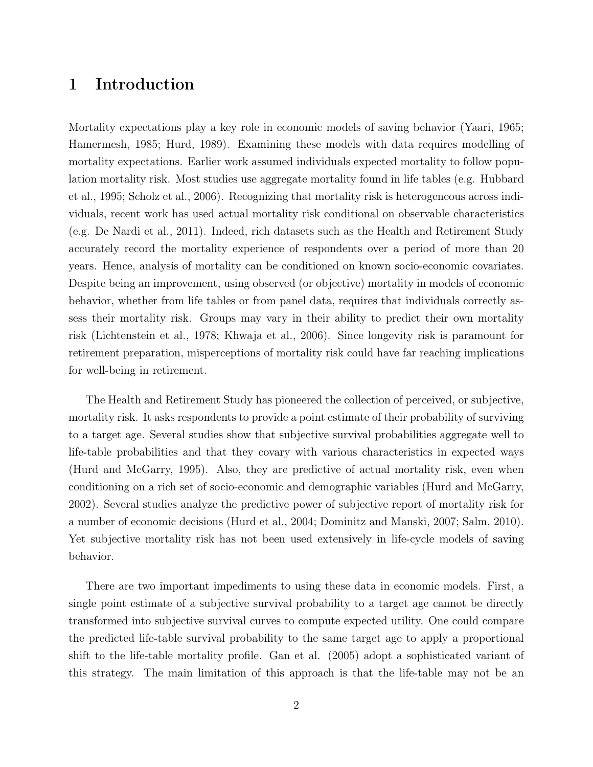# 1 Introduction

Mortality expectations play a key role in economic models of saving behavior (Yaari, 1965; Hamermesh, 1985; Hurd, 1989). Examining these models with data requires modelling of mortality expectations. Earlier work assumed individuals expected mortality to follow population mortality risk. Most studies use aggregate mortality found in life tables (e.g. Hubbard et al., 1995; Scholz et al., 2006). Recognizing that mortality risk is heterogeneous across individuals, recent work has used actual mortality risk conditional on observable characteristics (e.g. De Nardi et al., 2011). Indeed, rich datasets such as the Health and Retirement Study accurately record the mortality experience of respondents over a period of more than 20 years. Hence, analysis of mortality can be conditioned on known socio-economic covariates. Despite being an improvement, using observed (or objective) mortality in models of economic behavior, whether from life tables or from panel data, requires that individuals correctly assess their mortality risk. Groups may vary in their ability to predict their own mortality risk (Lichtenstein et al., 1978; Khwaja et al., 2006). Since longevity risk is paramount for retirement preparation, misperceptions of mortality risk could have far reaching implications for well-being in retirement.

The Health and Retirement Study has pioneered the collection of perceived, or subjective, mortality risk. It asks respondents to provide a point estimate of their probability of surviving to a target age. Several studies show that subjective survival probabilities aggregate well to life-table probabilities and that they covary with various characteristics in expected ways (Hurd and McGarry, 1995). Also, they are predictive of actual mortality risk, even when conditioning on a rich set of socio-economic and demographic variables (Hurd and McGarry, 2002). Several studies analyze the predictive power of subjective report of mortality risk for a number of economic decisions (Hurd et al., 2004; Dominitz and Manski, 2007; Salm, 2010). Yet subjective mortality risk has not been used extensively in life-cycle models of saving behavior.

There are two important impediments to using these data in economic models. First, a single point estimate of a subjective survival probability to a target age cannot be directly transformed into subjective survival curves to compute expected utility. One could compare the predicted life-table survival probability to the same target age to apply a proportional shift to the life-table mortality profile. Gan et al. (2005) adopt a sophisticated variant of this strategy. The main limitation of this approach is that the life-table may not be an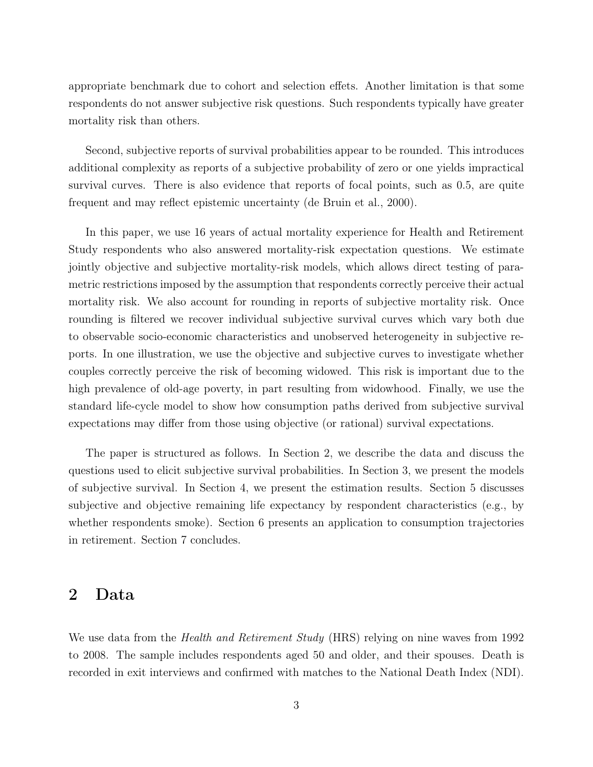appropriate benchmark due to cohort and selection effets. Another limitation is that some respondents do not answer subjective risk questions. Such respondents typically have greater mortality risk than others.

Second, subjective reports of survival probabilities appear to be rounded. This introduces additional complexity as reports of a subjective probability of zero or one yields impractical survival curves. There is also evidence that reports of focal points, such as 0.5, are quite frequent and may reflect epistemic uncertainty (de Bruin et al., 2000).

In this paper, we use 16 years of actual mortality experience for Health and Retirement Study respondents who also answered mortality-risk expectation questions. We estimate jointly objective and subjective mortality-risk models, which allows direct testing of parametric restrictions imposed by the assumption that respondents correctly perceive their actual mortality risk. We also account for rounding in reports of subjective mortality risk. Once rounding is filtered we recover individual subjective survival curves which vary both due to observable socio-economic characteristics and unobserved heterogeneity in subjective reports. In one illustration, we use the objective and subjective curves to investigate whether couples correctly perceive the risk of becoming widowed. This risk is important due to the high prevalence of old-age poverty, in part resulting from widowhood. Finally, we use the standard life-cycle model to show how consumption paths derived from subjective survival expectations may differ from those using objective (or rational) survival expectations.

The paper is structured as follows. In Section 2, we describe the data and discuss the questions used to elicit subjective survival probabilities. In Section 3, we present the models of subjective survival. In Section 4, we present the estimation results. Section 5 discusses subjective and objective remaining life expectancy by respondent characteristics (e.g., by whether respondents smoke). Section 6 presents an application to consumption trajectories in retirement. Section 7 concludes.

## 2 Data

We use data from the *Health and Retirement Study* (HRS) relying on nine waves from 1992 to 2008. The sample includes respondents aged 50 and older, and their spouses. Death is recorded in exit interviews and confirmed with matches to the National Death Index (NDI).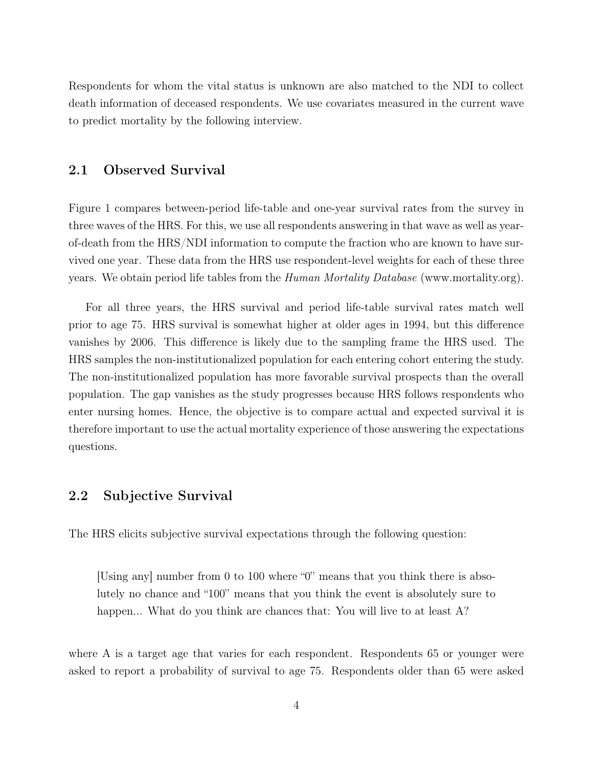Respondents for whom the vital status is unknown are also matched to the NDI to collect death information of deceased respondents. We use covariates measured in the current wave to predict mortality by the following interview.

#### 2.1 Observed Survival

Figure 1 compares between-period life-table and one-year survival rates from the survey in three waves of the HRS. For this, we use all respondents answering in that wave as well as yearof-death from the HRS/NDI information to compute the fraction who are known to have survived one year. These data from the HRS use respondent-level weights for each of these three years. We obtain period life tables from the Human Mortality Database (www.mortality.org).

For all three years, the HRS survival and period life-table survival rates match well prior to age 75. HRS survival is somewhat higher at older ages in 1994, but this difference vanishes by 2006. This difference is likely due to the sampling frame the HRS used. The HRS samples the non-institutionalized population for each entering cohort entering the study. The non-institutionalized population has more favorable survival prospects than the overall population. The gap vanishes as the study progresses because HRS follows respondents who enter nursing homes. Hence, the objective is to compare actual and expected survival it is therefore important to use the actual mortality experience of those answering the expectations questions.

#### 2.2 Subjective Survival

The HRS elicits subjective survival expectations through the following question:

[Using any] number from 0 to 100 where "0" means that you think there is absolutely no chance and "100" means that you think the event is absolutely sure to happen... What do you think are chances that: You will live to at least A?

where A is a target age that varies for each respondent. Respondents 65 or younger were asked to report a probability of survival to age 75. Respondents older than 65 were asked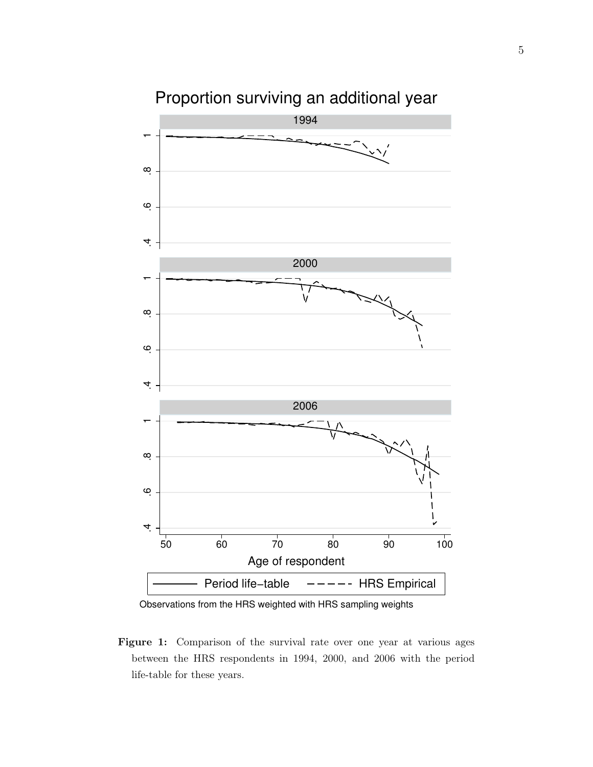

Proportion surviving an additional year

Observations from the HRS weighted with HRS sampling weights

Figure 1: Comparison of the survival rate over one year at various ages between the HRS respondents in 1994, 2000, and 2006 with the period life-table for these years.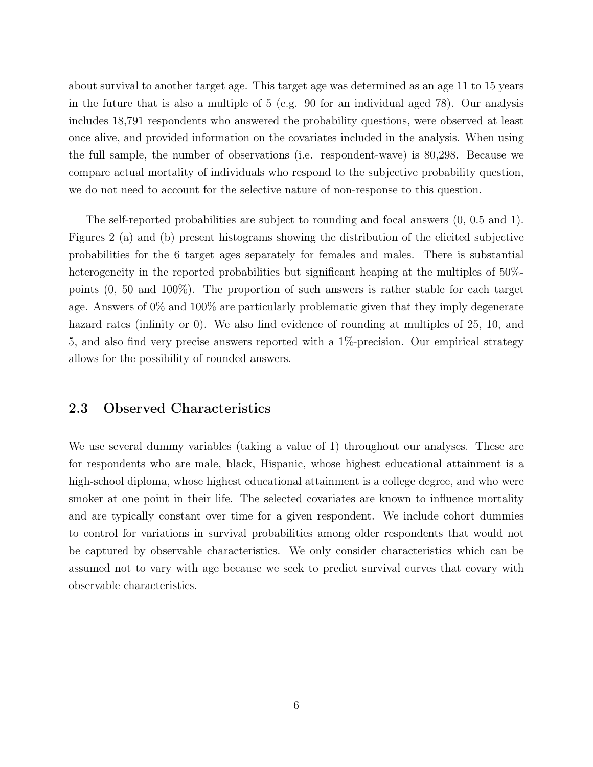about survival to another target age. This target age was determined as an age 11 to 15 years in the future that is also a multiple of 5 (e.g. 90 for an individual aged 78). Our analysis includes 18,791 respondents who answered the probability questions, were observed at least once alive, and provided information on the covariates included in the analysis. When using the full sample, the number of observations (i.e. respondent-wave) is 80,298. Because we compare actual mortality of individuals who respond to the subjective probability question, we do not need to account for the selective nature of non-response to this question.

The self-reported probabilities are subject to rounding and focal answers (0, 0.5 and 1). Figures 2 (a) and (b) present histograms showing the distribution of the elicited subjective probabilities for the 6 target ages separately for females and males. There is substantial heterogeneity in the reported probabilities but significant heaping at the multiples of 50%points (0, 50 and 100%). The proportion of such answers is rather stable for each target age. Answers of 0% and 100% are particularly problematic given that they imply degenerate hazard rates (infinity or 0). We also find evidence of rounding at multiples of 25, 10, and 5, and also find very precise answers reported with a 1%-precision. Our empirical strategy allows for the possibility of rounded answers.

#### 2.3 Observed Characteristics

We use several dummy variables (taking a value of 1) throughout our analyses. These are for respondents who are male, black, Hispanic, whose highest educational attainment is a high-school diploma, whose highest educational attainment is a college degree, and who were smoker at one point in their life. The selected covariates are known to influence mortality and are typically constant over time for a given respondent. We include cohort dummies to control for variations in survival probabilities among older respondents that would not be captured by observable characteristics. We only consider characteristics which can be assumed not to vary with age because we seek to predict survival curves that covary with observable characteristics.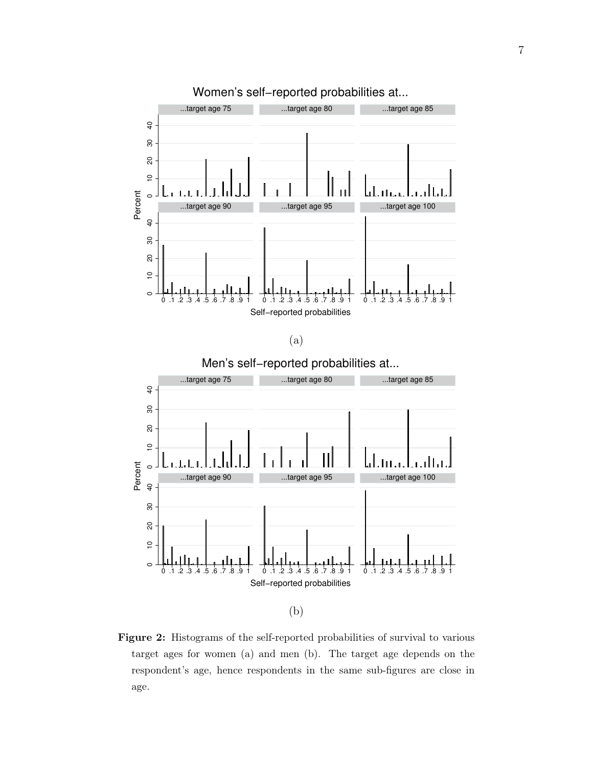

(a)



Figure 2: Histograms of the self-reported probabilities of survival to various target ages for women (a) and men (b). The target age depends on the respondent's age, hence respondents in the same sub-figures are close in age.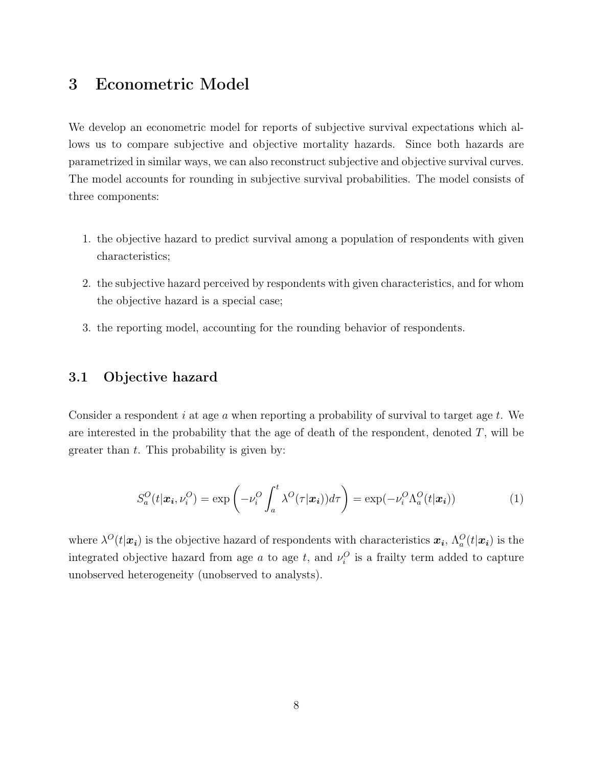# 3 Econometric Model

We develop an econometric model for reports of subjective survival expectations which allows us to compare subjective and objective mortality hazards. Since both hazards are parametrized in similar ways, we can also reconstruct subjective and objective survival curves. The model accounts for rounding in subjective survival probabilities. The model consists of three components:

- 1. the objective hazard to predict survival among a population of respondents with given characteristics;
- 2. the subjective hazard perceived by respondents with given characteristics, and for whom the objective hazard is a special case;
- 3. the reporting model, accounting for the rounding behavior of respondents.

#### 3.1 Objective hazard

Consider a respondent i at age  $\alpha$  when reporting a probability of survival to target age  $t$ . We are interested in the probability that the age of death of the respondent, denoted  $T$ , will be greater than  $t$ . This probability is given by:

$$
S_a^O(t|\boldsymbol{x_i}, \nu_i^O) = \exp\left(-\nu_i^O \int_a^t \lambda^O(\tau|\boldsymbol{x_i})d\tau\right) = \exp(-\nu_i^O \Lambda_a^O(t|\boldsymbol{x_i}))
$$
(1)

where  $\lambda^{O}(t|\bm{x_i})$  is the objective hazard of respondents with characteristics  $\bm{x_i}$ ,  $\Lambda_a^O(t|\bm{x_i})$  is the integrated objective hazard from age a to age t, and  $\nu_i^O$  is a frailty term added to capture unobserved heterogeneity (unobserved to analysts).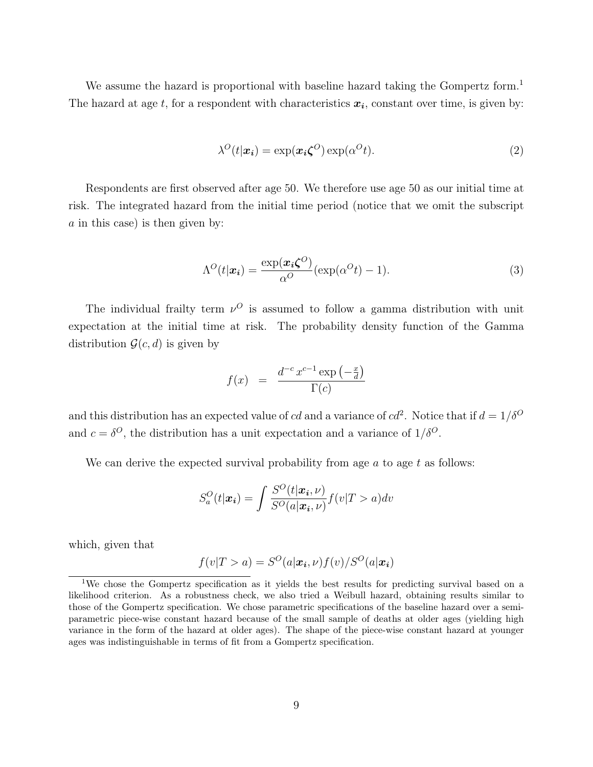We assume the hazard is proportional with baseline hazard taking the Gompertz form.<sup>1</sup> The hazard at age t, for a respondent with characteristics  $x_i$ , constant over time, is given by:

$$
\lambda^{O}(t|\boldsymbol{x}_{i}) = \exp(\boldsymbol{x}_{i}\boldsymbol{\zeta}^{O})\exp(\alpha^{O}t). \tag{2}
$$

Respondents are first observed after age 50. We therefore use age 50 as our initial time at risk. The integrated hazard from the initial time period (notice that we omit the subscript  $a$  in this case) is then given by:

$$
\Lambda^{O}(t|\boldsymbol{x}_{i}) = \frac{\exp(\boldsymbol{x}_{i}\boldsymbol{\zeta}^{O})}{\alpha^{O}}(\exp(\alpha^{O}t) - 1).
$$
\n(3)

The individual frailty term  $\nu^O$  is assumed to follow a gamma distribution with unit expectation at the initial time at risk. The probability density function of the Gamma distribution  $\mathcal{G}(c, d)$  is given by

$$
f(x) = \frac{d^{-c} x^{c-1} \exp\left(-\frac{x}{d}\right)}{\Gamma(c)}
$$

and this distribution has an expected value of cd and a variance of  $cd^2$ . Notice that if  $d = 1/\delta^O$ and  $c = \delta^O$ , the distribution has a unit expectation and a variance of  $1/\delta^O$ .

We can derive the expected survival probability from age  $a$  to age  $t$  as follows:

$$
S_a^O(t|\boldsymbol{x_i}) = \int \frac{S^O(t|\boldsymbol{x_i}, \nu)}{S^O(a|\boldsymbol{x_i}, \nu)} f(v|T > a) dv
$$

which, given that

$$
f(v|T > a) = S^{O}(a|\boldsymbol{x_i}, \nu) f(v) / S^{O}(a|\boldsymbol{x_i})
$$

<sup>&</sup>lt;sup>1</sup>We chose the Gompertz specification as it yields the best results for predicting survival based on a likelihood criterion. As a robustness check, we also tried a Weibull hazard, obtaining results similar to those of the Gompertz specification. We chose parametric specifications of the baseline hazard over a semiparametric piece-wise constant hazard because of the small sample of deaths at older ages (yielding high variance in the form of the hazard at older ages). The shape of the piece-wise constant hazard at younger ages was indistinguishable in terms of fit from a Gompertz specification.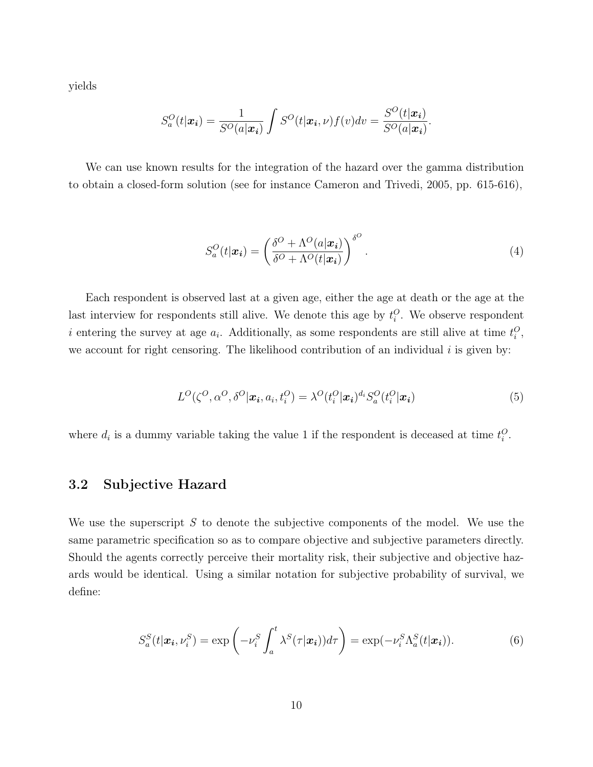yields

$$
S_a^O(t|\boldsymbol{x_i}) = \frac{1}{S^O(a|\boldsymbol{x_i})} \int S^O(t|\boldsymbol{x_i}, \nu) f(\nu) d\nu = \frac{S^O(t|\boldsymbol{x_i})}{S^O(a|\boldsymbol{x_i})}.
$$

We can use known results for the integration of the hazard over the gamma distribution to obtain a closed-form solution (see for instance Cameron and Trivedi, 2005, pp. 615-616),

$$
S_a^O(t|\boldsymbol{x_i}) = \left(\frac{\delta^O + \Lambda^O(a|\boldsymbol{x_i})}{\delta^O + \Lambda^O(t|\boldsymbol{x_i})}\right)^{\delta^O}.
$$
\n(4)

Each respondent is observed last at a given age, either the age at death or the age at the last interview for respondents still alive. We denote this age by  $t_i^O$ . We observe respondent i entering the survey at age  $a_i$ . Additionally, as some respondents are still alive at time  $t_i^O$ , we account for right censoring. The likelihood contribution of an individual  $i$  is given by:

$$
L^{O}(\zeta^{O}, \alpha^{O}, \delta^{O}|\boldsymbol{x_i}, a_i, t_i^{O}) = \lambda^{O}(t_i^{O}|\boldsymbol{x_i})^{d_i} S_a^{O}(t_i^{O}|\boldsymbol{x_i})
$$
\n<sup>(5)</sup>

where  $d_i$  is a dummy variable taking the value 1 if the respondent is deceased at time  $t_i^O$ .

#### 3.2 Subjective Hazard

We use the superscript  $S$  to denote the subjective components of the model. We use the same parametric specification so as to compare objective and subjective parameters directly. Should the agents correctly perceive their mortality risk, their subjective and objective hazards would be identical. Using a similar notation for subjective probability of survival, we define:

$$
S_a^S(t|\boldsymbol{x_i}, \nu_i^S) = \exp\left(-\nu_i^S \int_a^t \lambda^S(\tau|\boldsymbol{x_i})d\tau\right) = \exp(-\nu_i^S \Lambda_a^S(t|\boldsymbol{x_i})).
$$
\n(6)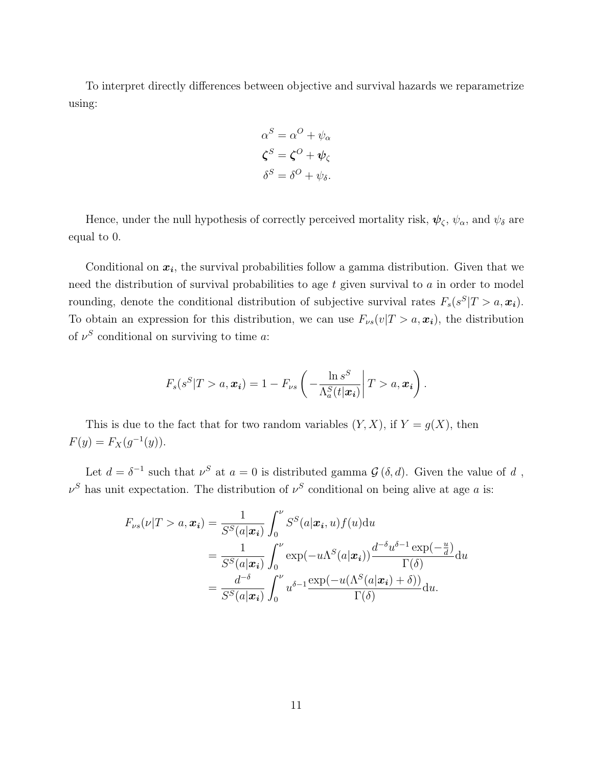To interpret directly differences between objective and survival hazards we reparametrize using:

$$
\alpha^{S} = \alpha^{O} + \psi_{\alpha}
$$

$$
\zeta^{S} = \zeta^{O} + \psi_{\zeta}
$$

$$
\delta^{S} = \delta^{O} + \psi_{\delta}.
$$

Hence, under the null hypothesis of correctly perceived mortality risk,  $\psi_{\zeta}$ ,  $\psi_{\alpha}$ , and  $\psi_{\delta}$  are equal to 0.

Conditional on  $x_i$ , the survival probabilities follow a gamma distribution. Given that we need the distribution of survival probabilities to age  $t$  given survival to  $a$  in order to model rounding, denote the conditional distribution of subjective survival rates  $F_s(s^S | T > a, \mathbf{x_i})$ . To obtain an expression for this distribution, we can use  $F_{\nu s}(v|T > a, x_i)$ , the distribution of  $\nu^S$  conditional on surviving to time a:

$$
F_s(s^S|T>a, \boldsymbol{x_i}) = 1 - F_{\nu s}\left(-\frac{\ln s^S}{\Lambda_a^S(t|\boldsymbol{x_i})}\middle| T>a, \boldsymbol{x_i}\right).
$$

This is due to the fact that for two random variables  $(Y, X)$ , if  $Y = g(X)$ , then  $F(y) = F_X(g^{-1}(y)).$ 

Let  $d = \delta^{-1}$  such that  $\nu^{S}$  at  $a = 0$  is distributed gamma  $\mathcal{G}(\delta, d)$ . Given the value of d,  $\nu^S$  has unit expectation. The distribution of  $\nu^S$  conditional on being alive at age a is:

$$
F_{\nu s}(\nu|T > a, \boldsymbol{x_i}) = \frac{1}{S^S(a|\boldsymbol{x_i})} \int_0^{\nu} S^S(a|\boldsymbol{x_i}, u) f(u) du
$$
  
= 
$$
\frac{1}{S^S(a|\boldsymbol{x_i})} \int_0^{\nu} \exp(-u\Lambda^S(a|\boldsymbol{x_i})) \frac{d^{-\delta} u^{\delta-1} \exp(-\frac{u}{d})}{\Gamma(\delta)} du
$$
  
= 
$$
\frac{d^{-\delta}}{S^S(a|\boldsymbol{x_i})} \int_0^{\nu} u^{\delta-1} \frac{\exp(-u(\Lambda^S(a|\boldsymbol{x_i}) + \delta))}{\Gamma(\delta)} du.
$$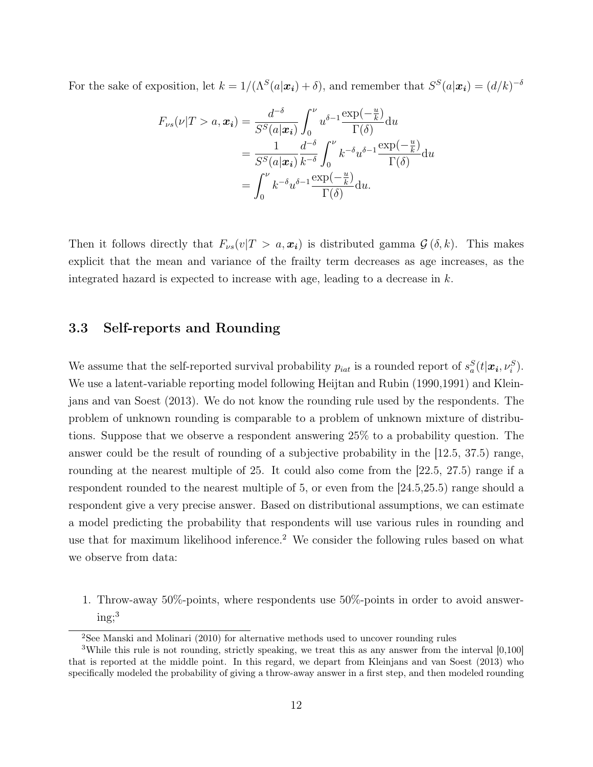For the sake of exposition, let  $k = 1/(\Lambda^S(a|\boldsymbol{x_i}) + \delta)$ , and remember that  $S^S(a|\boldsymbol{x_i}) = (d/k)^{-\delta}$ 

$$
F_{\nu s}(\nu|T > a, \mathbf{x_i}) = \frac{d^{-\delta}}{S^S(a|\mathbf{x_i})} \int_0^{\nu} u^{\delta-1} \frac{\exp(-\frac{u}{k})}{\Gamma(\delta)} du
$$
  
= 
$$
\frac{1}{S^S(a|\mathbf{x_i})} \frac{d^{-\delta}}{k^{-\delta}} \int_0^{\nu} k^{-\delta} u^{\delta-1} \frac{\exp(-\frac{u}{k})}{\Gamma(\delta)} du
$$
  
= 
$$
\int_0^{\nu} k^{-\delta} u^{\delta-1} \frac{\exp(-\frac{u}{k})}{\Gamma(\delta)} du.
$$

Then it follows directly that  $F_{\nu s}(v|T > a, x_i)$  is distributed gamma  $\mathcal{G}(\delta, k)$ . This makes explicit that the mean and variance of the frailty term decreases as age increases, as the integrated hazard is expected to increase with age, leading to a decrease in  $k$ .

#### 3.3 Self-reports and Rounding

We assume that the self-reported survival probability  $p_{iat}$  is a rounded report of  $s_a^S(t|\mathbf{x_i},\nu_i^S)$ . We use a latent-variable reporting model following Heijtan and Rubin (1990,1991) and Kleinjans and van Soest (2013). We do not know the rounding rule used by the respondents. The problem of unknown rounding is comparable to a problem of unknown mixture of distributions. Suppose that we observe a respondent answering 25% to a probability question. The answer could be the result of rounding of a subjective probability in the [12.5, 37.5) range, rounding at the nearest multiple of 25. It could also come from the [22.5, 27.5) range if a respondent rounded to the nearest multiple of 5, or even from the [24.5,25.5) range should a respondent give a very precise answer. Based on distributional assumptions, we can estimate a model predicting the probability that respondents will use various rules in rounding and use that for maximum likelihood inference.<sup>2</sup> We consider the following rules based on what we observe from data:

1. Throw-away 50%-points, where respondents use 50%-points in order to avoid answer $ing;3$ 

<sup>&</sup>lt;sup>2</sup>See Manski and Molinari (2010) for alternative methods used to uncover rounding rules

<sup>&</sup>lt;sup>3</sup>While this rule is not rounding, strictly speaking, we treat this as any answer from the interval [0,100] that is reported at the middle point. In this regard, we depart from Kleinjans and van Soest (2013) who specifically modeled the probability of giving a throw-away answer in a first step, and then modeled rounding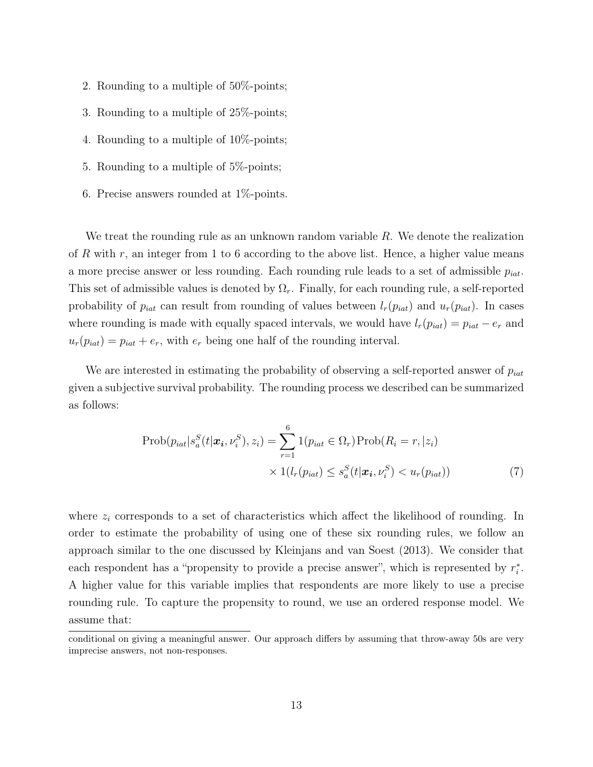- 2. Rounding to a multiple of 50%-points;
- 3. Rounding to a multiple of 25%-points;
- 4. Rounding to a multiple of 10%-points;
- 5. Rounding to a multiple of 5%-points;
- 6. Precise answers rounded at 1%-points.

We treat the rounding rule as an unknown random variable R. We denote the realization of R with r, an integer from 1 to 6 according to the above list. Hence, a higher value means a more precise answer or less rounding. Each rounding rule leads to a set of admissible  $p_{iat}$ . This set of admissible values is denoted by  $\Omega_r$ . Finally, for each rounding rule, a self-reported probability of  $p_{iat}$  can result from rounding of values between  $l_r(p_{iat})$  and  $u_r(p_{iat})$ . In cases where rounding is made with equally spaced intervals, we would have  $l_r(p_{int}) = p_{int} - e_r$  and  $u_r(p_{int}) = p_{int} + e_r$ , with  $e_r$  being one half of the rounding interval.

We are interested in estimating the probability of observing a self-reported answer of  $p_{iat}$ given a subjective survival probability. The rounding process we described can be summarized as follows:

$$
\text{Prob}(p_{iat}|s_a^S(t|\boldsymbol{x_i}, \nu_i^S), z_i) = \sum_{r=1}^6 1(p_{iat} \in \Omega_r) \text{Prob}(R_i = r, |z_i)
$$

$$
\times 1(l_r(p_{iat}) \le s_a^S(t|\boldsymbol{x_i}, \nu_i^S) < u_r(p_{iat})) \tag{7}
$$

where  $z_i$  corresponds to a set of characteristics which affect the likelihood of rounding. In order to estimate the probability of using one of these six rounding rules, we follow an approach similar to the one discussed by Kleinjans and van Soest (2013). We consider that each respondent has a "propensity to provide a precise answer", which is represented by  $r_i^*$ . A higher value for this variable implies that respondents are more likely to use a precise rounding rule. To capture the propensity to round, we use an ordered response model. We assume that:

conditional on giving a meaningful answer. Our approach differs by assuming that throw-away 50s are very imprecise answers, not non-responses.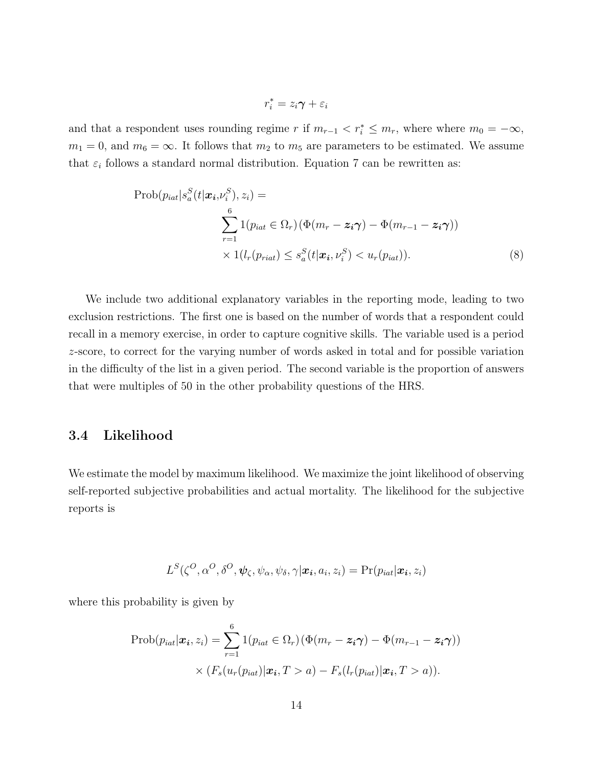$$
r_i^* = z_i \pmb{\gamma} + \varepsilon_i
$$

and that a respondent uses rounding regime r if  $m_{r-1} < r_i^* \le m_r$ , where where  $m_0 = -\infty$ ,  $m_1 = 0$ , and  $m_6 = \infty$ . It follows that  $m_2$  to  $m_5$  are parameters to be estimated. We assume that  $\varepsilon_i$  follows a standard normal distribution. Equation 7 can be rewritten as:

$$
\text{Prob}(p_{iat}|s_a^S(t|\boldsymbol{x}_i,\nu_i^S), z_i) = \sum_{r=1}^6 1(p_{iat} \in \Omega_r) (\Phi(m_r - \boldsymbol{z}_i \boldsymbol{\gamma}) - \Phi(m_{r-1} - \boldsymbol{z}_i \boldsymbol{\gamma})) \times 1(l_r(p_{riat}) \le s_a^S(t|\boldsymbol{x}_i,\nu_i^S) < u_r(p_{iat})).
$$
\n(8)

We include two additional explanatory variables in the reporting mode, leading to two exclusion restrictions. The first one is based on the number of words that a respondent could recall in a memory exercise, in order to capture cognitive skills. The variable used is a period z-score, to correct for the varying number of words asked in total and for possible variation in the difficulty of the list in a given period. The second variable is the proportion of answers that were multiples of 50 in the other probability questions of the HRS.

#### 3.4 Likelihood

We estimate the model by maximum likelihood. We maximize the joint likelihood of observing self-reported subjective probabilities and actual mortality. The likelihood for the subjective reports is

$$
L^{S}(\zeta^{O}, \alpha^{O}, \delta^{O}, \psi_{\zeta}, \psi_{\alpha}, \psi_{\delta}, \gamma | \boldsymbol{x_i}, a_i, z_i) = \Pr(p_{iat} | \boldsymbol{x_i}, z_i)
$$

where this probability is given by

$$
\text{Prob}(p_{iat}|\boldsymbol{x_i}, z_i) = \sum_{r=1}^{6} 1(p_{iat} \in \Omega_r) (\Phi(m_r - \boldsymbol{z_i \gamma}) - \Phi(m_{r-1} - \boldsymbol{z_i \gamma}))
$$

$$
\times (F_s(u_r(p_{iat})|\boldsymbol{x_i}, T > a) - F_s(l_r(p_{iat})|\boldsymbol{x_i}, T > a)).
$$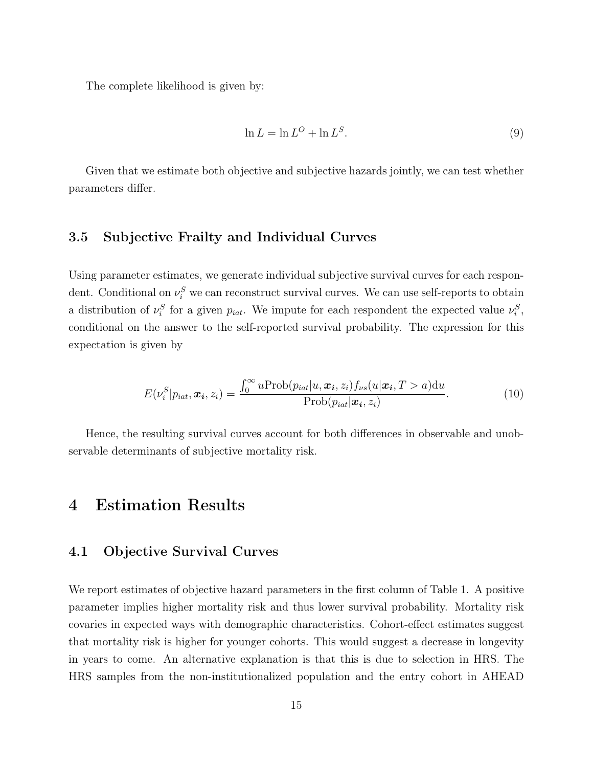The complete likelihood is given by:

$$
\ln L = \ln L^O + \ln L^S. \tag{9}
$$

Given that we estimate both objective and subjective hazards jointly, we can test whether parameters differ.

#### 3.5 Subjective Frailty and Individual Curves

Using parameter estimates, we generate individual subjective survival curves for each respondent. Conditional on  $\nu_i^S$  we can reconstruct survival curves. We can use self-reports to obtain a distribution of  $\nu_i^S$  for a given  $p_{iat}$ . We impute for each respondent the expected value  $\nu_i^S$ , conditional on the answer to the self-reported survival probability. The expression for this expectation is given by

$$
E(\nu_i^S|p_{iat}, \boldsymbol{x_i}, z_i) = \frac{\int_0^\infty u \text{Prob}(p_{iat}|u, \boldsymbol{x_i}, z_i) f_{\nu s}(u|\boldsymbol{x_i}, T > a) \, du}{\text{Prob}(p_{iat}|\boldsymbol{x_i}, z_i)}.
$$
(10)

Hence, the resulting survival curves account for both differences in observable and unobservable determinants of subjective mortality risk.

# 4 Estimation Results

#### 4.1 Objective Survival Curves

We report estimates of objective hazard parameters in the first column of Table 1. A positive parameter implies higher mortality risk and thus lower survival probability. Mortality risk covaries in expected ways with demographic characteristics. Cohort-effect estimates suggest that mortality risk is higher for younger cohorts. This would suggest a decrease in longevity in years to come. An alternative explanation is that this is due to selection in HRS. The HRS samples from the non-institutionalized population and the entry cohort in AHEAD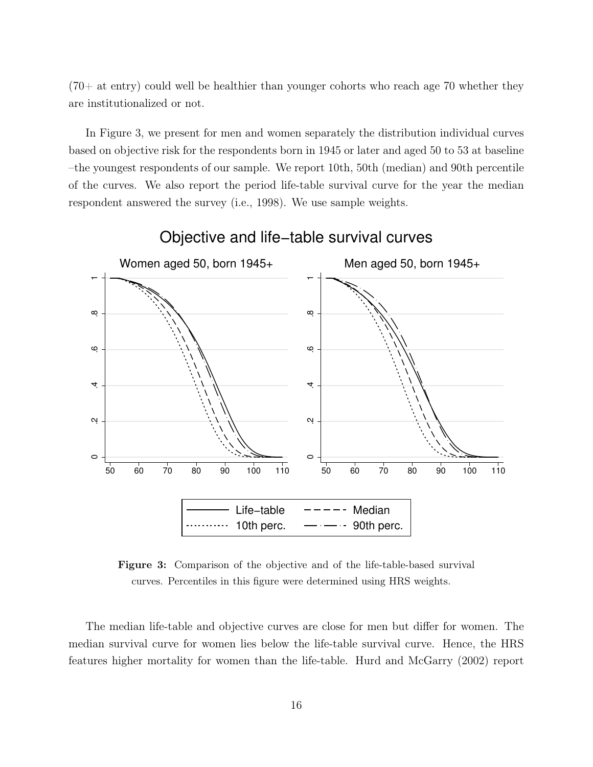$(70+$  at entry) could well be healthier than younger cohorts who reach age 70 whether they are institutionalized or not.

In Figure 3, we present for men and women separately the distribution individual curves based on objective risk for the respondents born in 1945 or later and aged 50 to 53 at baseline –the youngest respondents of our sample. We report 10th, 50th (median) and 90th percentile of the curves. We also report the period life-table survival curve for the year the median respondent answered the survey (i.e., 1998). We use sample weights.



Objective and life−table survival curves

Figure 3: Comparison of the objective and of the life-table-based survival curves. Percentiles in this figure were determined using HRS weights.

The median life-table and objective curves are close for men but differ for women. The median survival curve for women lies below the life-table survival curve. Hence, the HRS features higher mortality for women than the life-table. Hurd and McGarry (2002) report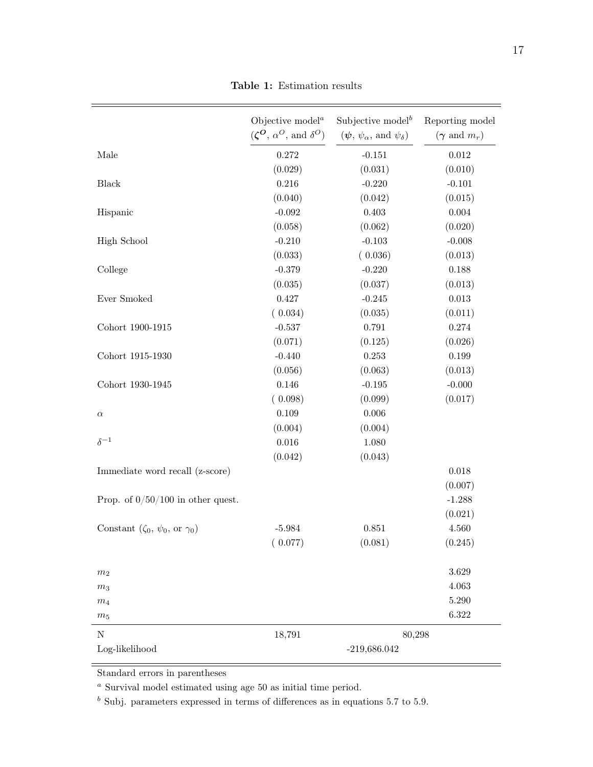|                                                    | Objective model <sup><math>a</math></sup><br>$(\zeta^{\mathbf{O}}, \alpha^{\mathbf{O}}, \text{ and } \delta^{\mathbf{O}})$ | Subjective model <sup>b</sup><br>$(\psi, \psi_{\alpha}, \text{ and } \psi_{\delta})$ | Reporting model<br>$(\gamma \text{ and } m_r)$ |
|----------------------------------------------------|----------------------------------------------------------------------------------------------------------------------------|--------------------------------------------------------------------------------------|------------------------------------------------|
|                                                    |                                                                                                                            |                                                                                      |                                                |
| Male                                               | 0.272                                                                                                                      | $-0.151$                                                                             | 0.012                                          |
|                                                    | (0.029)                                                                                                                    | (0.031)                                                                              | (0.010)                                        |
| Black                                              | 0.216                                                                                                                      | $-0.220$                                                                             | $-0.101$                                       |
|                                                    | (0.040)                                                                                                                    | (0.042)                                                                              | (0.015)                                        |
| Hispanic                                           | $-0.092$                                                                                                                   | $0.403\,$                                                                            | $0.004\,$                                      |
|                                                    | (0.058)                                                                                                                    | (0.062)                                                                              | (0.020)                                        |
| <b>High School</b>                                 | $-0.210$                                                                                                                   | $-0.103$                                                                             | $-0.008$                                       |
|                                                    | (0.033)                                                                                                                    | (0.036)                                                                              | (0.013)                                        |
| College                                            | $-0.379$                                                                                                                   | $-0.220$                                                                             | 0.188                                          |
|                                                    | (0.035)                                                                                                                    | (0.037)                                                                              | (0.013)                                        |
| Ever Smoked                                        | 0.427                                                                                                                      | $-0.245$                                                                             | 0.013                                          |
|                                                    | (0.034)                                                                                                                    | (0.035)                                                                              | (0.011)                                        |
| Cohort 1900-1915                                   | $-0.537$                                                                                                                   | 0.791                                                                                | $0.274\,$                                      |
|                                                    | (0.071)                                                                                                                    | (0.125)                                                                              | (0.026)                                        |
| Cohort 1915-1930                                   | $-0.440$                                                                                                                   | $\,0.253\,$                                                                          | 0.199                                          |
|                                                    | (0.056)                                                                                                                    | (0.063)                                                                              | (0.013)                                        |
| Cohort 1930-1945                                   | 0.146                                                                                                                      | $-0.195$                                                                             | $-0.000$                                       |
|                                                    | (0.098)                                                                                                                    | (0.099)                                                                              | (0.017)                                        |
| $\alpha$                                           | 0.109                                                                                                                      | $0.006\,$                                                                            |                                                |
|                                                    | (0.004)                                                                                                                    | (0.004)                                                                              |                                                |
| $\delta^{-1}$                                      | $0.016\,$                                                                                                                  | 1.080                                                                                |                                                |
|                                                    | (0.042)                                                                                                                    | (0.043)                                                                              |                                                |
| Immediate word recall (z-score)                    |                                                                                                                            |                                                                                      | 0.018                                          |
|                                                    |                                                                                                                            |                                                                                      | (0.007)                                        |
| Prop. of $0/50/100$ in other quest.                |                                                                                                                            |                                                                                      | $-1.288$                                       |
|                                                    |                                                                                                                            |                                                                                      | (0.021)                                        |
| Constant $(\zeta_0, \psi_0, \text{ or } \gamma_0)$ | $-5.984$                                                                                                                   | 0.851                                                                                | 4.560                                          |
|                                                    | (0.077)                                                                                                                    | (0.081)                                                                              | (0.245)                                        |
|                                                    |                                                                                                                            |                                                                                      |                                                |
| m <sub>2</sub>                                     |                                                                                                                            |                                                                                      | 3.629                                          |
| m <sub>3</sub>                                     |                                                                                                                            |                                                                                      | 4.063                                          |
| m <sub>4</sub>                                     |                                                                                                                            |                                                                                      | $5.290\,$                                      |
| $m_5$                                              |                                                                                                                            |                                                                                      | 6.322                                          |
|                                                    |                                                                                                                            |                                                                                      |                                                |
| $\mathbf N$                                        | 18,791                                                                                                                     | 80,298                                                                               |                                                |
| $Log-likelihood$                                   |                                                                                                                            | $-219,686.042$                                                                       |                                                |

Table 1: Estimation results

Standard errors in parentheses

 $\emph{^a}$  Survival model estimated using age 50 as initial time period.

 $<sup>b</sup>$  Subj. parameters expressed in terms of differences as in equations 5.7 to 5.9.</sup>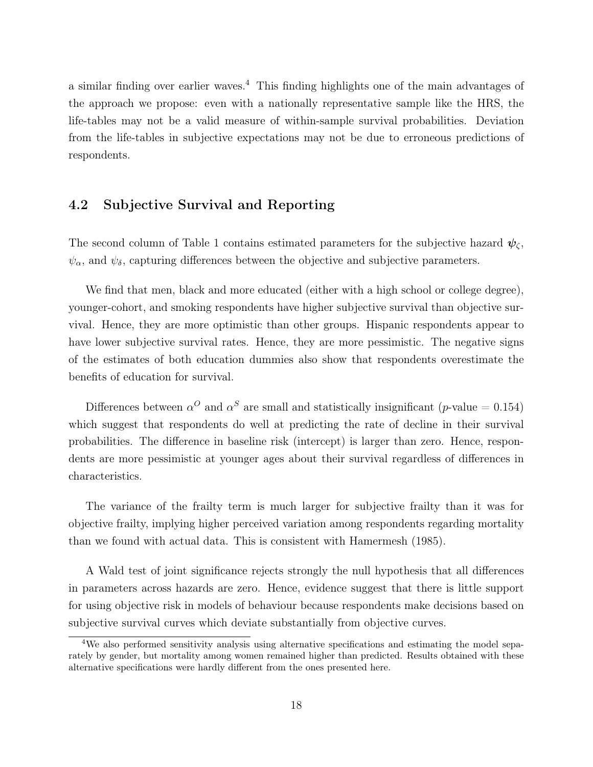a similar finding over earlier waves.<sup>4</sup> This finding highlights one of the main advantages of the approach we propose: even with a nationally representative sample like the HRS, the life-tables may not be a valid measure of within-sample survival probabilities. Deviation from the life-tables in subjective expectations may not be due to erroneous predictions of respondents.

#### 4.2 Subjective Survival and Reporting

The second column of Table 1 contains estimated parameters for the subjective hazard  $\psi_{\zeta}$ ,  $\psi_{\alpha}$ , and  $\psi_{\delta}$ , capturing differences between the objective and subjective parameters.

We find that men, black and more educated (either with a high school or college degree), younger-cohort, and smoking respondents have higher subjective survival than objective survival. Hence, they are more optimistic than other groups. Hispanic respondents appear to have lower subjective survival rates. Hence, they are more pessimistic. The negative signs of the estimates of both education dummies also show that respondents overestimate the benefits of education for survival.

Differences between  $\alpha^O$  and  $\alpha^S$  are small and statistically insignificant (p-value = 0.154) which suggest that respondents do well at predicting the rate of decline in their survival probabilities. The difference in baseline risk (intercept) is larger than zero. Hence, respondents are more pessimistic at younger ages about their survival regardless of differences in characteristics.

The variance of the frailty term is much larger for subjective frailty than it was for objective frailty, implying higher perceived variation among respondents regarding mortality than we found with actual data. This is consistent with Hamermesh (1985).

A Wald test of joint significance rejects strongly the null hypothesis that all differences in parameters across hazards are zero. Hence, evidence suggest that there is little support for using objective risk in models of behaviour because respondents make decisions based on subjective survival curves which deviate substantially from objective curves.

<sup>4</sup>We also performed sensitivity analysis using alternative specifications and estimating the model separately by gender, but mortality among women remained higher than predicted. Results obtained with these alternative specifications were hardly different from the ones presented here.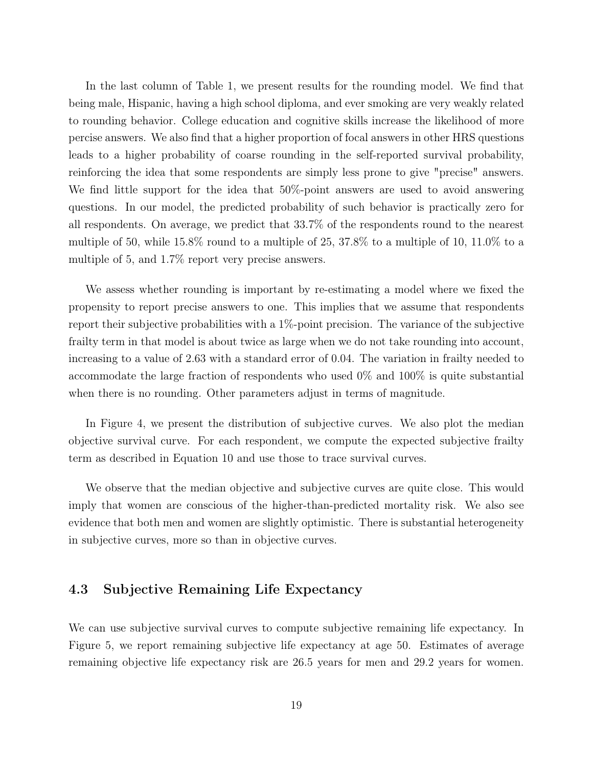In the last column of Table 1, we present results for the rounding model. We find that being male, Hispanic, having a high school diploma, and ever smoking are very weakly related to rounding behavior. College education and cognitive skills increase the likelihood of more percise answers. We also find that a higher proportion of focal answers in other HRS questions leads to a higher probability of coarse rounding in the self-reported survival probability, reinforcing the idea that some respondents are simply less prone to give "precise" answers. We find little support for the idea that 50%-point answers are used to avoid answering questions. In our model, the predicted probability of such behavior is practically zero for all respondents. On average, we predict that 33.7% of the respondents round to the nearest multiple of 50, while 15.8% round to a multiple of 25, 37.8% to a multiple of 10, 11.0% to a multiple of 5, and 1.7% report very precise answers.

We assess whether rounding is important by re-estimating a model where we fixed the propensity to report precise answers to one. This implies that we assume that respondents report their subjective probabilities with a  $1\%$ -point precision. The variance of the subjective frailty term in that model is about twice as large when we do not take rounding into account, increasing to a value of 2.63 with a standard error of 0.04. The variation in frailty needed to accommodate the large fraction of respondents who used 0% and 100% is quite substantial when there is no rounding. Other parameters adjust in terms of magnitude.

In Figure 4, we present the distribution of subjective curves. We also plot the median objective survival curve. For each respondent, we compute the expected subjective frailty term as described in Equation 10 and use those to trace survival curves.

We observe that the median objective and subjective curves are quite close. This would imply that women are conscious of the higher-than-predicted mortality risk. We also see evidence that both men and women are slightly optimistic. There is substantial heterogeneity in subjective curves, more so than in objective curves.

#### 4.3 Subjective Remaining Life Expectancy

We can use subjective survival curves to compute subjective remaining life expectancy. In Figure 5, we report remaining subjective life expectancy at age 50. Estimates of average remaining objective life expectancy risk are 26.5 years for men and 29.2 years for women.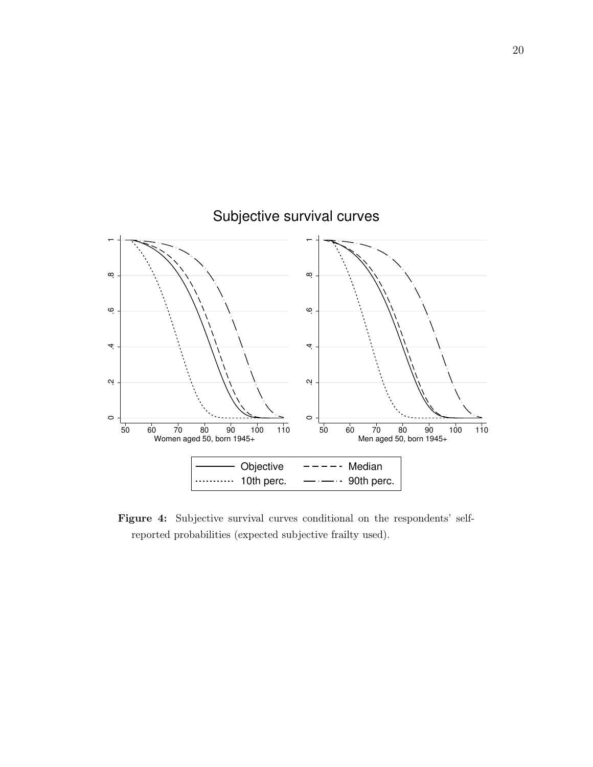

### Figure 4: Subjective survival curves conditional on the respondents' selfreported probabilities (expected subjective frailty used).

# Subjective survival curves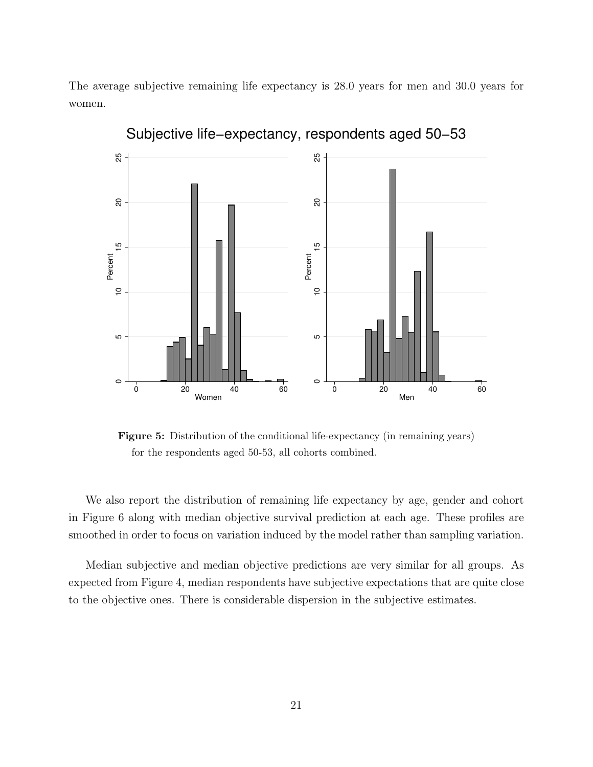The average subjective remaining life expectancy is 28.0 years for men and 30.0 years for women.



Subjective life−expectancy, respondents aged 50−53

Figure 5: Distribution of the conditional life-expectancy (in remaining years) for the respondents aged 50-53, all cohorts combined.

We also report the distribution of remaining life expectancy by age, gender and cohort in Figure 6 along with median objective survival prediction at each age. These profiles are smoothed in order to focus on variation induced by the model rather than sampling variation.

Median subjective and median objective predictions are very similar for all groups. As expected from Figure 4, median respondents have subjective expectations that are quite close to the objective ones. There is considerable dispersion in the subjective estimates.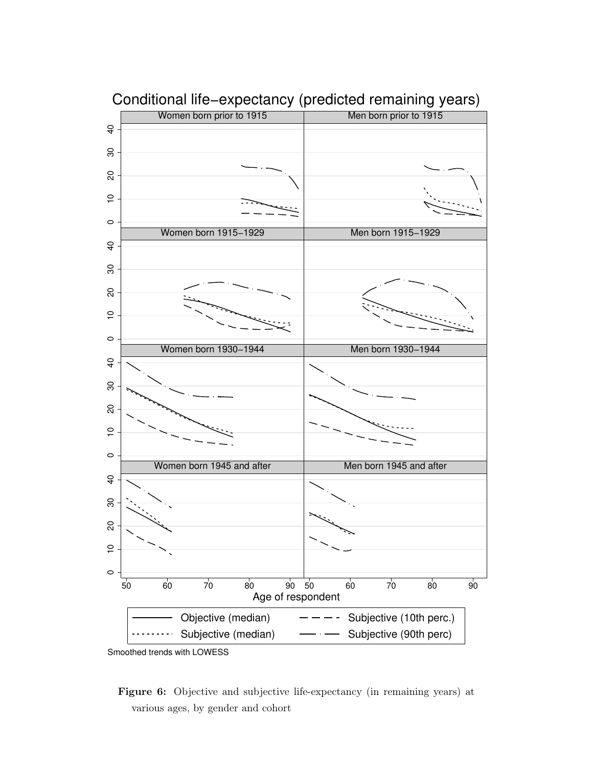

Conditional life−expectancy (predicted remaining years)

Smoothed trends with LOWESS

Figure 6: Objective and subjective life-expectancy (in remaining years) at various ages, by gender and cohort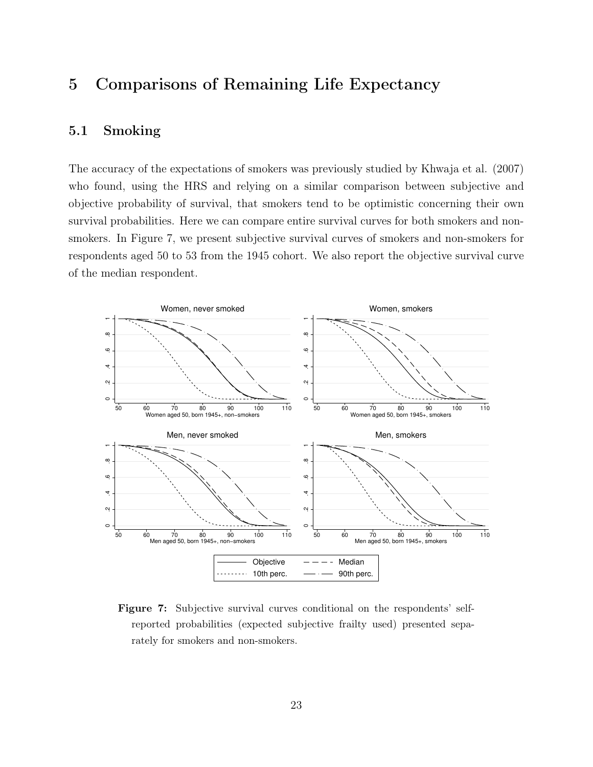# 5 Comparisons of Remaining Life Expectancy

### 5.1 Smoking

The accuracy of the expectations of smokers was previously studied by Khwaja et al. (2007) who found, using the HRS and relying on a similar comparison between subjective and objective probability of survival, that smokers tend to be optimistic concerning their own survival probabilities. Here we can compare entire survival curves for both smokers and nonsmokers. In Figure 7, we present subjective survival curves of smokers and non-smokers for respondents aged 50 to 53 from the 1945 cohort. We also report the objective survival curve of the median respondent.



Figure 7: Subjective survival curves conditional on the respondents' selfreported probabilities (expected subjective frailty used) presented separately for smokers and non-smokers.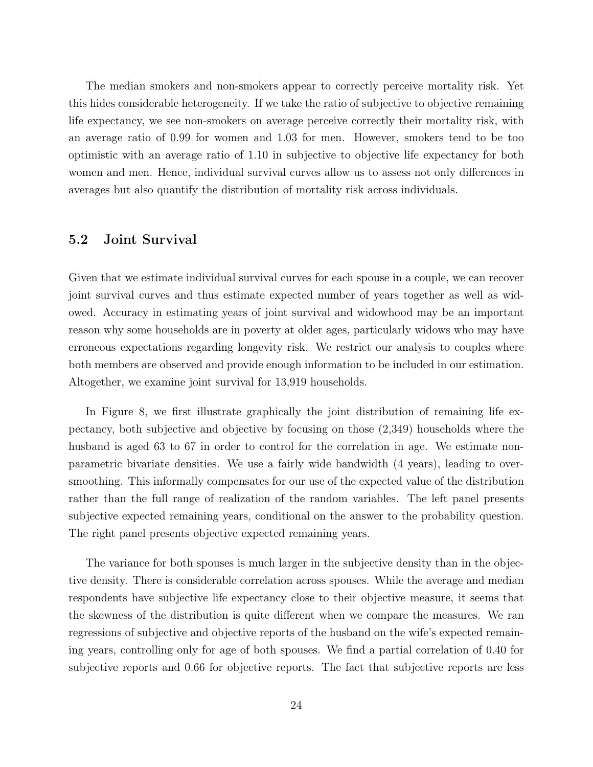The median smokers and non-smokers appear to correctly perceive mortality risk. Yet this hides considerable heterogeneity. If we take the ratio of subjective to objective remaining life expectancy, we see non-smokers on average perceive correctly their mortality risk, with an average ratio of 0.99 for women and 1.03 for men. However, smokers tend to be too optimistic with an average ratio of 1.10 in subjective to objective life expectancy for both women and men. Hence, individual survival curves allow us to assess not only differences in averages but also quantify the distribution of mortality risk across individuals.

#### 5.2 Joint Survival

Given that we estimate individual survival curves for each spouse in a couple, we can recover joint survival curves and thus estimate expected number of years together as well as widowed. Accuracy in estimating years of joint survival and widowhood may be an important reason why some households are in poverty at older ages, particularly widows who may have erroneous expectations regarding longevity risk. We restrict our analysis to couples where both members are observed and provide enough information to be included in our estimation. Altogether, we examine joint survival for 13,919 households.

In Figure 8, we first illustrate graphically the joint distribution of remaining life expectancy, both subjective and objective by focusing on those (2,349) households where the husband is aged 63 to 67 in order to control for the correlation in age. We estimate nonparametric bivariate densities. We use a fairly wide bandwidth (4 years), leading to oversmoothing. This informally compensates for our use of the expected value of the distribution rather than the full range of realization of the random variables. The left panel presents subjective expected remaining years, conditional on the answer to the probability question. The right panel presents objective expected remaining years.

The variance for both spouses is much larger in the subjective density than in the objective density. There is considerable correlation across spouses. While the average and median respondents have subjective life expectancy close to their objective measure, it seems that the skewness of the distribution is quite different when we compare the measures. We ran regressions of subjective and objective reports of the husband on the wife's expected remaining years, controlling only for age of both spouses. We find a partial correlation of 0.40 for subjective reports and 0.66 for objective reports. The fact that subjective reports are less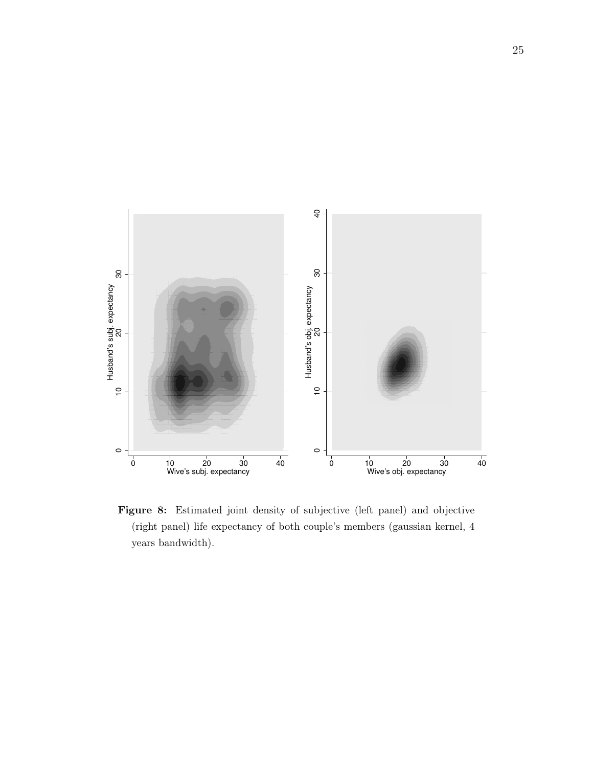

Figure 8: Estimated joint density of subjective (left panel) and objective (right panel) life expectancy of both couple's members (gaussian kernel, 4 years bandwidth).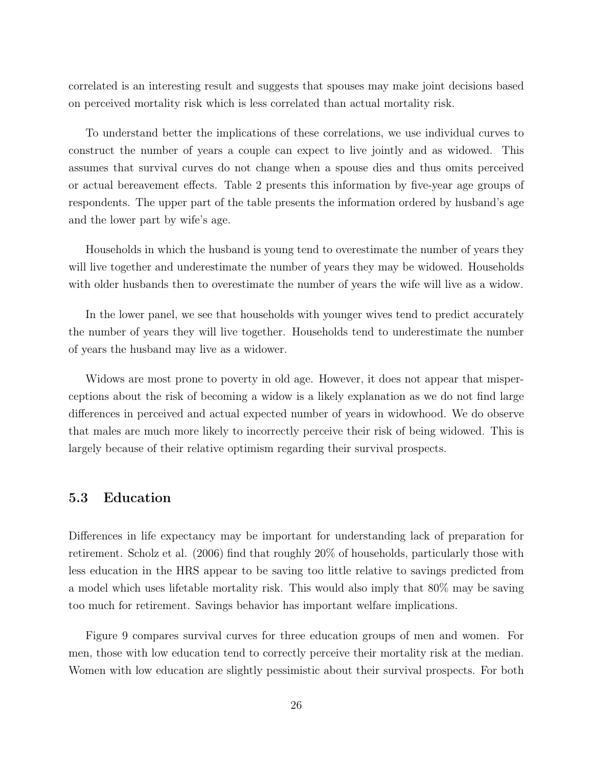correlated is an interesting result and suggests that spouses may make joint decisions based on perceived mortality risk which is less correlated than actual mortality risk.

To understand better the implications of these correlations, we use individual curves to construct the number of years a couple can expect to live jointly and as widowed. This assumes that survival curves do not change when a spouse dies and thus omits perceived or actual bereavement effects. Table 2 presents this information by five-year age groups of respondents. The upper part of the table presents the information ordered by husband's age and the lower part by wife's age.

Households in which the husband is young tend to overestimate the number of years they will live together and underestimate the number of years they may be widowed. Households with older husbands then to overestimate the number of years the wife will live as a widow.

In the lower panel, we see that households with younger wives tend to predict accurately the number of years they will live together. Households tend to underestimate the number of years the husband may live as a widower.

Widows are most prone to poverty in old age. However, it does not appear that misperceptions about the risk of becoming a widow is a likely explanation as we do not find large differences in perceived and actual expected number of years in widowhood. We do observe that males are much more likely to incorrectly perceive their risk of being widowed. This is largely because of their relative optimism regarding their survival prospects.

#### 5.3 Education

Differences in life expectancy may be important for understanding lack of preparation for retirement. Scholz et al. (2006) find that roughly 20% of households, particularly those with less education in the HRS appear to be saving too little relative to savings predicted from a model which uses lifetable mortality risk. This would also imply that 80% may be saving too much for retirement. Savings behavior has important welfare implications.

Figure 9 compares survival curves for three education groups of men and women. For men, those with low education tend to correctly perceive their mortality risk at the median. Women with low education are slightly pessimistic about their survival prospects. For both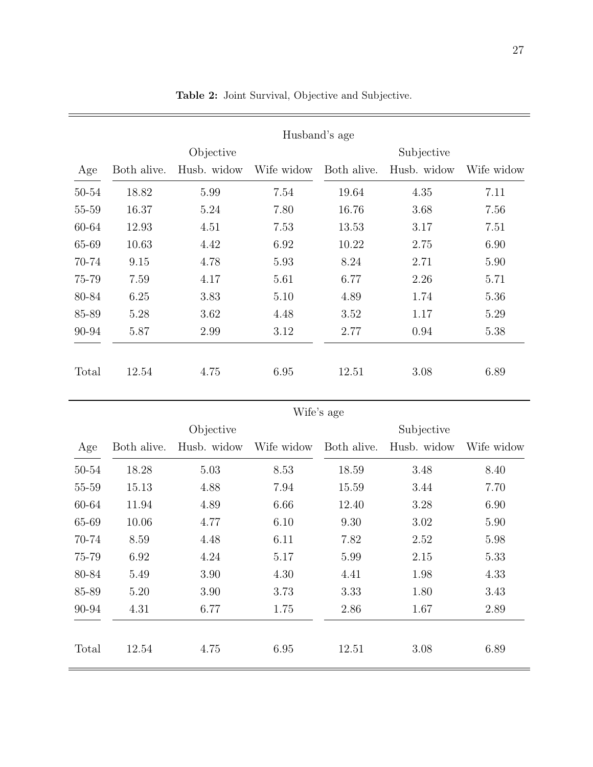|       | Husband's age |             |            |             |             |            |  |  |
|-------|---------------|-------------|------------|-------------|-------------|------------|--|--|
|       | Objective     |             |            | Subjective  |             |            |  |  |
| Age   | Both alive.   | Husb. widow | Wife widow | Both alive. | Husb. widow | Wife widow |  |  |
| 50-54 | 18.82         | 5.99        | 7.54       | 19.64       | 4.35        | 7.11       |  |  |
| 55-59 | 16.37         | 5.24        | 7.80       | 16.76       | 3.68        | 7.56       |  |  |
| 60-64 | 12.93         | 4.51        | 7.53       | 13.53       | 3.17        | 7.51       |  |  |
| 65-69 | 10.63         | 4.42        | 6.92       | 10.22       | 2.75        | 6.90       |  |  |
| 70-74 | 9.15          | 4.78        | 5.93       | 8.24        | 2.71        | 5.90       |  |  |
| 75-79 | 7.59          | 4.17        | 5.61       | 6.77        | 2.26        | 5.71       |  |  |
| 80-84 | 6.25          | 3.83        | 5.10       | 4.89        | 1.74        | 5.36       |  |  |
| 85-89 | 5.28          | 3.62        | 4.48       | 3.52        | 1.17        | 5.29       |  |  |
| 90-94 | 5.87          | 2.99        | 3.12       | 2.77        | 0.94        | 5.38       |  |  |
|       |               |             |            |             |             |            |  |  |
| Total | 12.54         | 4.75        | 6.95       | 12.51       | 3.08        | 6.89       |  |  |

Table 2: Joint Survival, Objective and Subjective.

|       | Wife's age  |             |            |             |             |            |  |
|-------|-------------|-------------|------------|-------------|-------------|------------|--|
|       |             | Objective   |            | Subjective  |             |            |  |
| Age   | Both alive. | Husb. widow | Wife widow | Both alive. | Husb. widow | Wife widow |  |
| 50-54 | 18.28       | 5.03        | 8.53       | 18.59       | 3.48        | 8.40       |  |
| 55-59 | 15.13       | 4.88        | 7.94       | 15.59       | 3.44        | 7.70       |  |
| 60-64 | 11.94       | 4.89        | 6.66       | 12.40       | 3.28        | 6.90       |  |
| 65-69 | 10.06       | 4.77        | 6.10       | 9.30        | 3.02        | 5.90       |  |
| 70-74 | 8.59        | 4.48        | 6.11       | 7.82        | 2.52        | 5.98       |  |
| 75-79 | 6.92        | 4.24        | 5.17       | 5.99        | 2.15        | 5.33       |  |
| 80-84 | 5.49        | 3.90        | 4.30       | 4.41        | 1.98        | 4.33       |  |
| 85-89 | 5.20        | 3.90        | 3.73       | 3.33        | 1.80        | 3.43       |  |
| 90-94 | 4.31        | 6.77        | 1.75       | 2.86        | 1.67        | 2.89       |  |
|       |             |             |            |             |             |            |  |
| Total | 12.54       | 4.75        | 6.95       | 12.51       | 3.08        | 6.89       |  |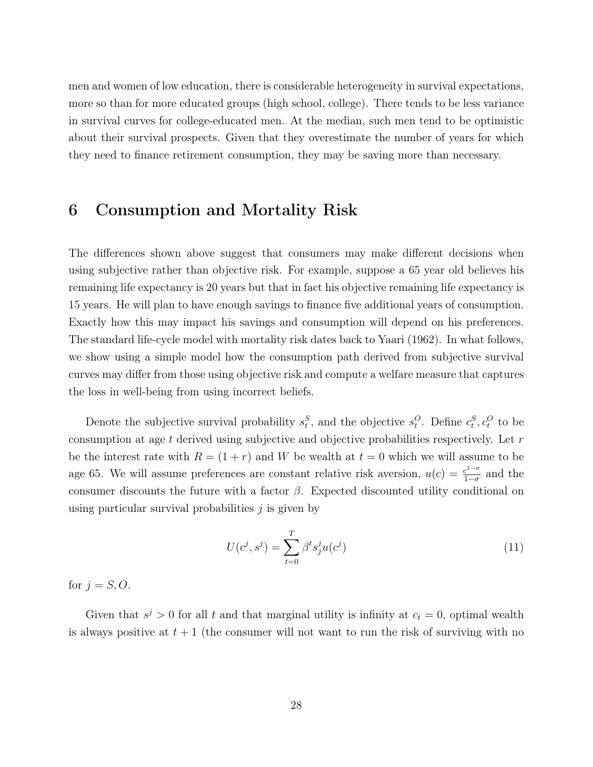men and women of low education, there is considerable heterogeneity in survival expectations, more so than for more educated groups (high school, college). There tends to be less variance in survival curves for college-educated men. At the median, such men tend to be optimistic about their survival prospects. Given that they overestimate the number of years for which they need to finance retirement consumption, they may be saving more than necessary.

# 6 Consumption and Mortality Risk

The differences shown above suggest that consumers may make different decisions when using subjective rather than objective risk. For example, suppose a 65 year old believes his remaining life expectancy is 20 years but that in fact his objective remaining life expectancy is 15 years. He will plan to have enough savings to finance five additional years of consumption. Exactly how this may impact his savings and consumption will depend on his preferences. The standard life-cycle model with mortality risk dates back to Yaari (1962). In what follows, we show using a simple model how the consumption path derived from subjective survival curves may differ from those using objective risk and compute a welfare measure that captures the loss in well-being from using incorrect beliefs.

Denote the subjective survival probability  $s_t^S$ , and the objective  $s_t^O$ . Define  $c_t^S$ ,  $c_t^O$  to be consumption at age t derived using subjective and objective probabilities respectively. Let  $r$ be the interest rate with  $R = (1 + r)$  and W be wealth at  $t = 0$  which we will assume to be age 65. We will assume preferences are constant relative risk aversion,  $u(c) = \frac{c^{1-\sigma}}{1-\sigma}$  $\frac{e^{1-\sigma}}{1-\sigma}$  and the consumer discounts the future with a factor  $\beta$ . Expected discounted utility conditional on using particular survival probabilities  $\dot{\jmath}$  is given by

$$
U(c^j, s^j) = \sum_{t=0}^{T} \beta^t s_j^j u(c^j)
$$
 (11)

for  $j = S, O$ .

Given that  $s^j > 0$  for all t and that marginal utility is infinity at  $c_t = 0$ , optimal wealth is always positive at  $t + 1$  (the consumer will not want to run the risk of surviving with no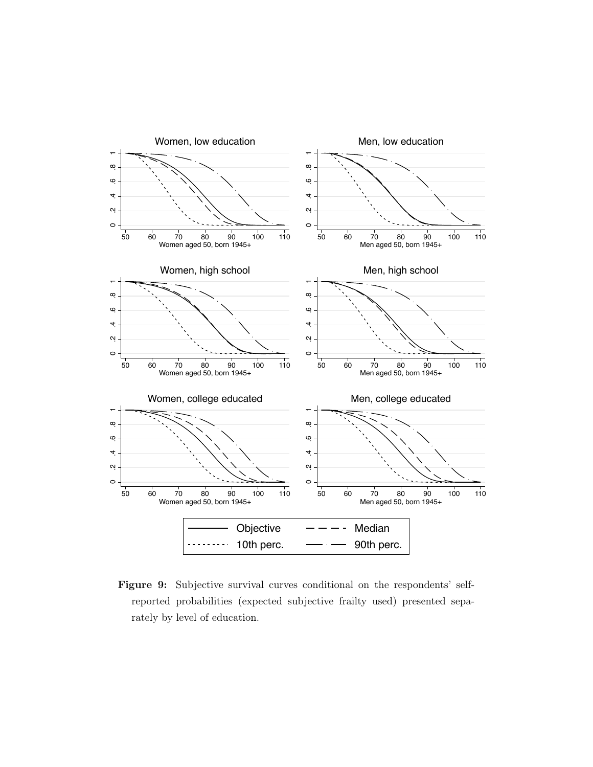

Figure 9: Subjective survival curves conditional on the respondents' selfreported probabilities (expected subjective frailty used) presented separately by level of education.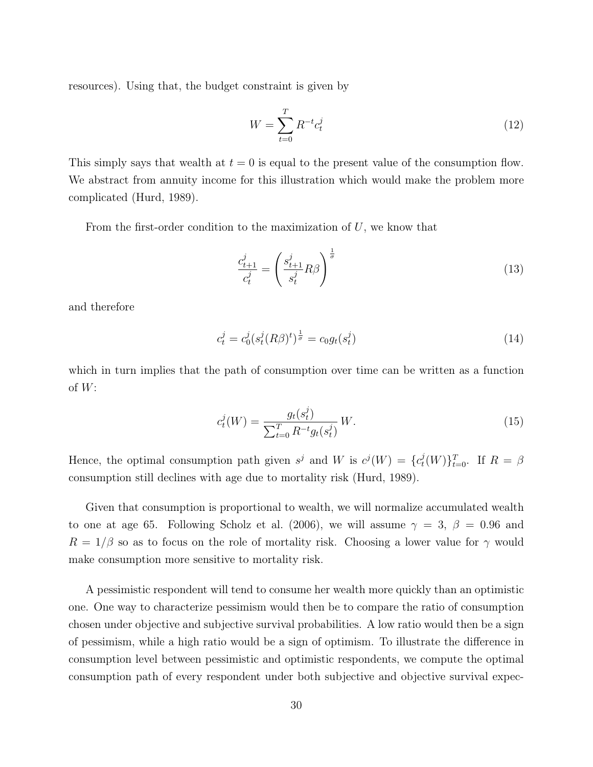resources). Using that, the budget constraint is given by

$$
W = \sum_{t=0}^{T} R^{-t} c_t^j
$$
 (12)

This simply says that wealth at  $t = 0$  is equal to the present value of the consumption flow. We abstract from annuity income for this illustration which would make the problem more complicated (Hurd, 1989).

From the first-order condition to the maximization of  $U$ , we know that

$$
\frac{c_{t+1}^j}{c_t^j} = \left(\frac{s_{t+1}^j}{s_t^j} R\beta\right)^{\frac{1}{\sigma}}
$$
\n(13)

and therefore

$$
c_t^j = c_0^j (s_t^j (R\beta)^t)^{\frac{1}{\sigma}} = c_0 g_t(s_t^j)
$$
\n(14)

which in turn implies that the path of consumption over time can be written as a function of  $W$ :

$$
c_t^j(W) = \frac{g_t(s_t^j)}{\sum_{t=0}^T R^{-t} g_t(s_t^j)} W.
$$
\n(15)

Hence, the optimal consumption path given  $s^j$  and W is  $c^j(W) = \{c_t^j\}$  $(t^j_t(W)\}_{t=0}^T$ . If  $R = \beta$ consumption still declines with age due to mortality risk (Hurd, 1989).

Given that consumption is proportional to wealth, we will normalize accumulated wealth to one at age 65. Following Scholz et al. (2006), we will assume  $\gamma = 3, \beta = 0.96$  and  $R = 1/\beta$  so as to focus on the role of mortality risk. Choosing a lower value for  $\gamma$  would make consumption more sensitive to mortality risk.

A pessimistic respondent will tend to consume her wealth more quickly than an optimistic one. One way to characterize pessimism would then be to compare the ratio of consumption chosen under objective and subjective survival probabilities. A low ratio would then be a sign of pessimism, while a high ratio would be a sign of optimism. To illustrate the difference in consumption level between pessimistic and optimistic respondents, we compute the optimal consumption path of every respondent under both subjective and objective survival expec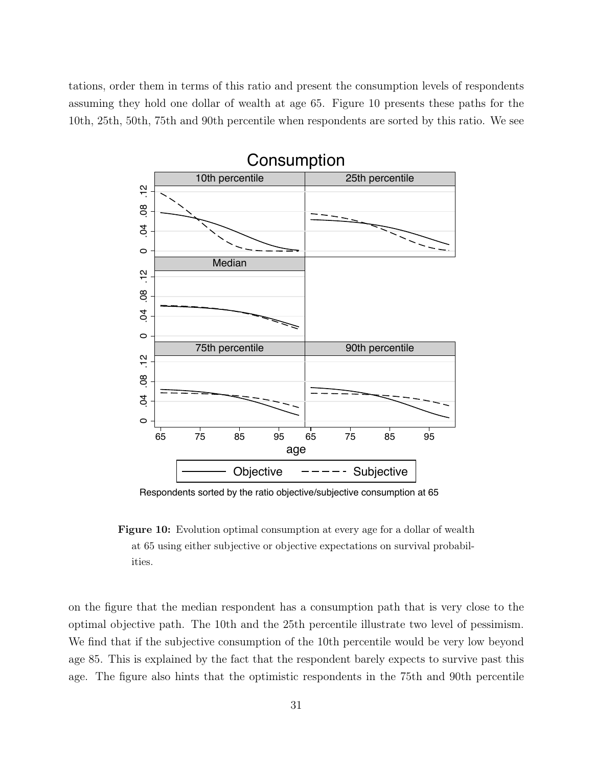tations, order them in terms of this ratio and present the consumption levels of respondents assuming they hold one dollar of wealth at age 65. Figure 10 presents these paths for the 10th, 25th, 50th, 75th and 90th percentile when respondents are sorted by this ratio. We see



Respondents sorted by the ratio objective/subjective consumption at 65

Figure 10: Evolution optimal consumption at every age for a dollar of wealth at 65 using either subjective or objective expectations on survival probabilities.

on the figure that the median respondent has a consumption path that is very close to the optimal objective path. The 10th and the 25th percentile illustrate two level of pessimism. We find that if the subjective consumption of the 10th percentile would be very low beyond age 85. This is explained by the fact that the respondent barely expects to survive past this age. The figure also hints that the optimistic respondents in the 75th and 90th percentile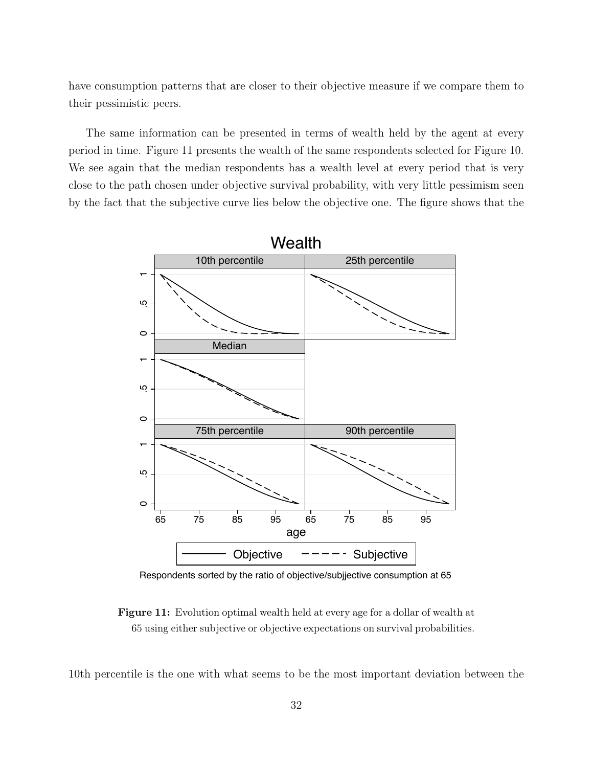have consumption patterns that are closer to their objective measure if we compare them to their pessimistic peers.

The same information can be presented in terms of wealth held by the agent at every period in time. Figure 11 presents the wealth of the same respondents selected for Figure 10. We see again that the median respondents has a wealth level at every period that is very close to the path chosen under objective survival probability, with very little pessimism seen by the fact that the subjective curve lies below the objective one. The figure shows that the



Respondents sorted by the ratio of objective/subjjective consumption at 65

Figure 11: Evolution optimal wealth held at every age for a dollar of wealth at 65 using either subjective or objective expectations on survival probabilities.

10th percentile is the one with what seems to be the most important deviation between the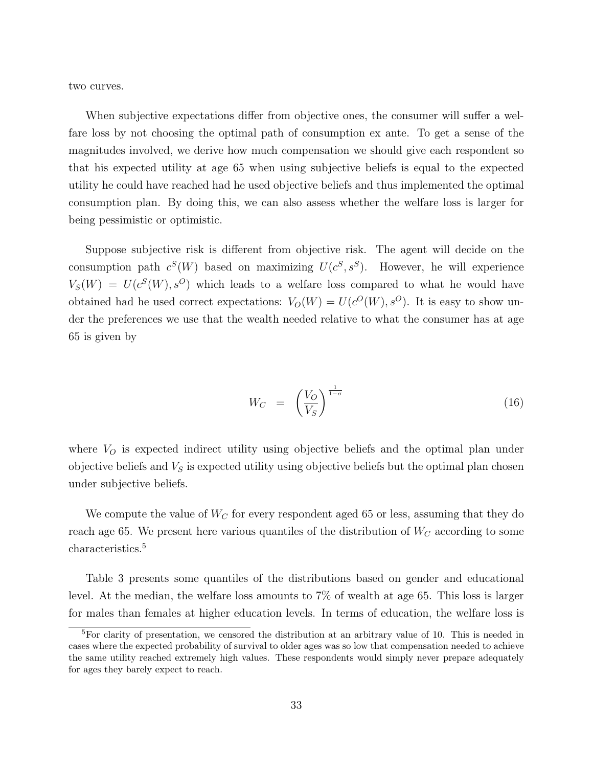two curves.

When subjective expectations differ from objective ones, the consumer will suffer a welfare loss by not choosing the optimal path of consumption ex ante. To get a sense of the magnitudes involved, we derive how much compensation we should give each respondent so that his expected utility at age 65 when using subjective beliefs is equal to the expected utility he could have reached had he used objective beliefs and thus implemented the optimal consumption plan. By doing this, we can also assess whether the welfare loss is larger for being pessimistic or optimistic.

Suppose subjective risk is different from objective risk. The agent will decide on the consumption path  $c^S(W)$  based on maximizing  $U(c^S, s^S)$ . However, he will experience  $V_S(W) = U(c<sup>S</sup>(W), s<sup>O</sup>)$  which leads to a welfare loss compared to what he would have obtained had he used correct expectations:  $V_O(W) = U(c^O(W), s^O)$ . It is easy to show under the preferences we use that the wealth needed relative to what the consumer has at age 65 is given by

$$
W_C = \left(\frac{V_O}{V_S}\right)^{\frac{1}{1-\sigma}} \tag{16}
$$

where  $V<sub>O</sub>$  is expected indirect utility using objective beliefs and the optimal plan under objective beliefs and  $V<sub>S</sub>$  is expected utility using objective beliefs but the optimal plan chosen under subjective beliefs.

We compute the value of  $W_C$  for every respondent aged 65 or less, assuming that they do reach age 65. We present here various quantiles of the distribution of  $W_C$  according to some characteristics.<sup>5</sup>

Table 3 presents some quantiles of the distributions based on gender and educational level. At the median, the welfare loss amounts to 7% of wealth at age 65. This loss is larger for males than females at higher education levels. In terms of education, the welfare loss is

<sup>5</sup>For clarity of presentation, we censored the distribution at an arbitrary value of 10. This is needed in cases where the expected probability of survival to older ages was so low that compensation needed to achieve the same utility reached extremely high values. These respondents would simply never prepare adequately for ages they barely expect to reach.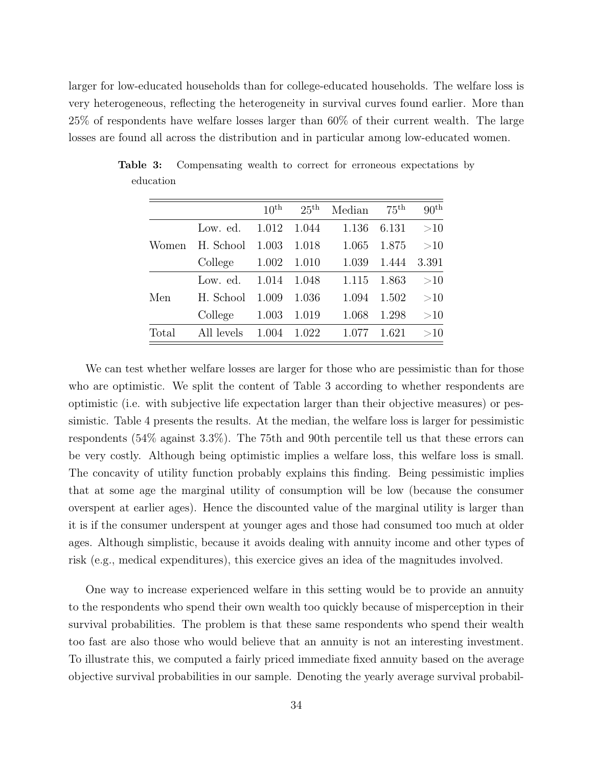larger for low-educated households than for college-educated households. The welfare loss is very heterogeneous, reflecting the heterogeneity in survival curves found earlier. More than 25% of respondents have welfare losses larger than 60% of their current wealth. The large losses are found all across the distribution and in particular among low-educated women.

|       |            | $10^{\text{th}}$ | $25^{\text{th}}$ | Median | $75^{\text{th}}$ | 90 <sup>th</sup> |
|-------|------------|------------------|------------------|--------|------------------|------------------|
| Women | Low. ed.   | 1.012            | 1.044            | 1.136  | 6.131            | >10              |
|       | H. School  | 1.003            | 1.018            | 1.065  | 1.875            | >10              |
|       | College    | 1.002            | 1.010            | 1.039  | 1.444            | 3.391            |
| Men   | Low. ed.   | 1.014            | 1.048            | 1.115  | 1.863            | >10              |
|       | H. School  | 1.009            | 1.036            | 1.094  | 1.502            | >10              |
|       | College    | 1.003            | 1.019            | 1.068  | 1.298            | >10              |
| Total | All levels | 1.004            | 1.022            |        | 1.621            | >10              |

Table 3: Compensating wealth to correct for erroneous expectations by education

We can test whether welfare losses are larger for those who are pessimistic than for those who are optimistic. We split the content of Table 3 according to whether respondents are optimistic (i.e. with subjective life expectation larger than their objective measures) or pessimistic. Table 4 presents the results. At the median, the welfare loss is larger for pessimistic respondents (54% against 3.3%). The 75th and 90th percentile tell us that these errors can be very costly. Although being optimistic implies a welfare loss, this welfare loss is small. The concavity of utility function probably explains this finding. Being pessimistic implies that at some age the marginal utility of consumption will be low (because the consumer overspent at earlier ages). Hence the discounted value of the marginal utility is larger than it is if the consumer underspent at younger ages and those had consumed too much at older ages. Although simplistic, because it avoids dealing with annuity income and other types of risk (e.g., medical expenditures), this exercice gives an idea of the magnitudes involved.

One way to increase experienced welfare in this setting would be to provide an annuity to the respondents who spend their own wealth too quickly because of misperception in their survival probabilities. The problem is that these same respondents who spend their wealth too fast are also those who would believe that an annuity is not an interesting investment. To illustrate this, we computed a fairly priced immediate fixed annuity based on the average objective survival probabilities in our sample. Denoting the yearly average survival probabil-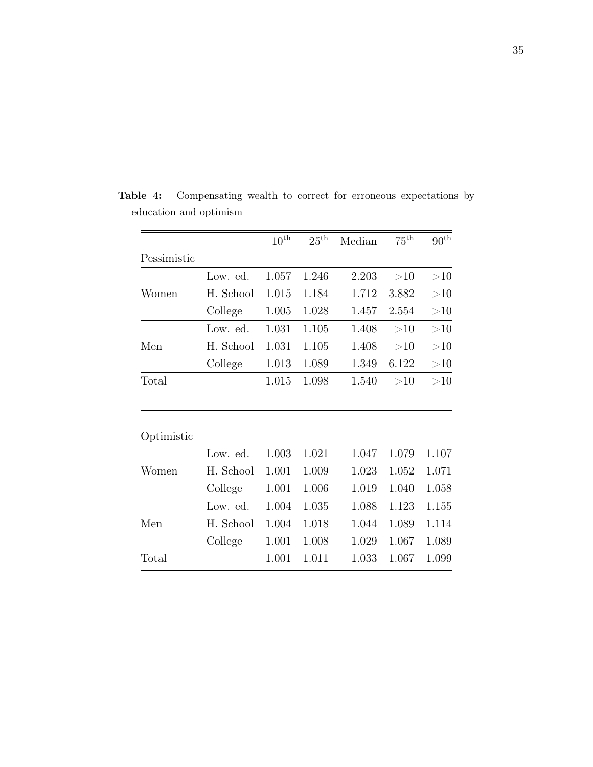|             |           | $10^{\rm th}$ | $25^{\text{th}}$ | Median | $75^{\text{th}}$ | $90^{\rm th}$ |
|-------------|-----------|---------------|------------------|--------|------------------|---------------|
| Pessimistic |           |               |                  |        |                  |               |
|             | Low. ed.  | 1.057         | 1.246            | 2.203  | >10              | >10           |
| Women       | H. School | 1.015         | 1.184            | 1.712  | 3.882            | >10           |
|             | College   | 1.005         | 1.028            | 1.457  | 2.554            | >10           |
|             | Low. ed.  | 1.031         | 1.105            | 1.408  | >10              | >10           |
| Men         | H. School | 1.031         | 1.105            | 1.408  | >10              | >10           |
|             | College   | 1.013         | 1.089            | 1.349  | 6.122            | >10           |
| Total       |           | 1.015         | 1.098            | 1.540  | >10              | >10           |
|             |           |               |                  |        |                  |               |
| Optimistic  |           |               |                  |        |                  |               |
|             | Low. ed.  | 1.003         | 1.021            | 1.047  | 1.079            | 1.107         |
| Women       | H. School | 1.001         | 1.009            | 1.023  | 1.052            | 1.071         |
|             | College   | 1.001         | 1.006            | 1.019  | 1.040            | 1.058         |
|             | Low. ed.  | 1.004         | 1.035            | 1.088  | 1.123            | 1.155         |
| Men         | H. School | 1.004         | 1.018            | 1.044  | 1.089            | 1.114         |
|             | College   | 1.001         | 1.008            | 1.029  | 1.067            | 1.089         |
| Total       |           | 1.001         | 1.011            | 1.033  | 1.067            | 1.099         |

Table 4: Compensating wealth to correct for erroneous expectations by education and optimism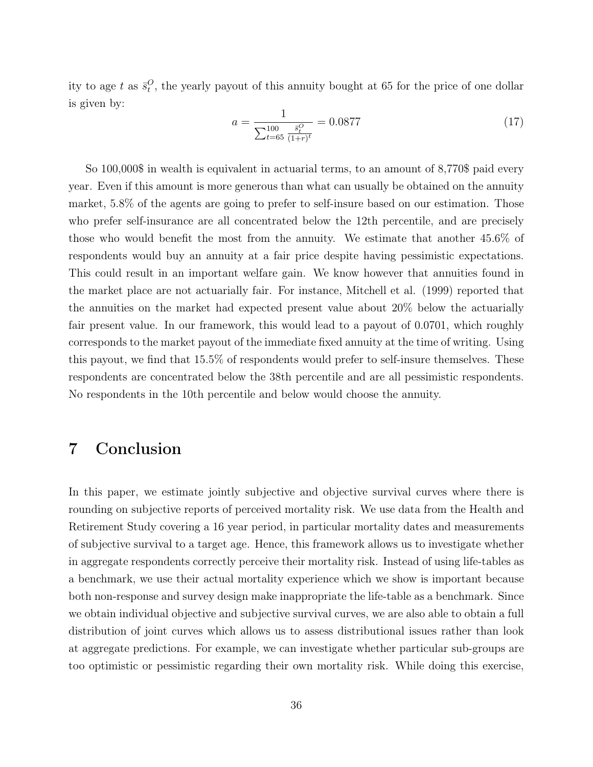ity to age t as  $\bar{s}^O_t$ , the yearly payout of this annuity bought at 65 for the price of one dollar is given by:

$$
a = \frac{1}{\sum_{t=65}^{100} \frac{\bar{s}_t^O}{(1+r)^t}} = 0.0877
$$
\n(17)

So 100,000\$ in wealth is equivalent in actuarial terms, to an amount of 8,770\$ paid every year. Even if this amount is more generous than what can usually be obtained on the annuity market, 5.8% of the agents are going to prefer to self-insure based on our estimation. Those who prefer self-insurance are all concentrated below the 12th percentile, and are precisely those who would benefit the most from the annuity. We estimate that another 45.6% of respondents would buy an annuity at a fair price despite having pessimistic expectations. This could result in an important welfare gain. We know however that annuities found in the market place are not actuarially fair. For instance, Mitchell et al. (1999) reported that the annuities on the market had expected present value about 20% below the actuarially fair present value. In our framework, this would lead to a payout of 0.0701, which roughly corresponds to the market payout of the immediate fixed annuity at the time of writing. Using this payout, we find that 15.5% of respondents would prefer to self-insure themselves. These respondents are concentrated below the 38th percentile and are all pessimistic respondents. No respondents in the 10th percentile and below would choose the annuity.

# 7 Conclusion

In this paper, we estimate jointly subjective and objective survival curves where there is rounding on subjective reports of perceived mortality risk. We use data from the Health and Retirement Study covering a 16 year period, in particular mortality dates and measurements of subjective survival to a target age. Hence, this framework allows us to investigate whether in aggregate respondents correctly perceive their mortality risk. Instead of using life-tables as a benchmark, we use their actual mortality experience which we show is important because both non-response and survey design make inappropriate the life-table as a benchmark. Since we obtain individual objective and subjective survival curves, we are also able to obtain a full distribution of joint curves which allows us to assess distributional issues rather than look at aggregate predictions. For example, we can investigate whether particular sub-groups are too optimistic or pessimistic regarding their own mortality risk. While doing this exercise,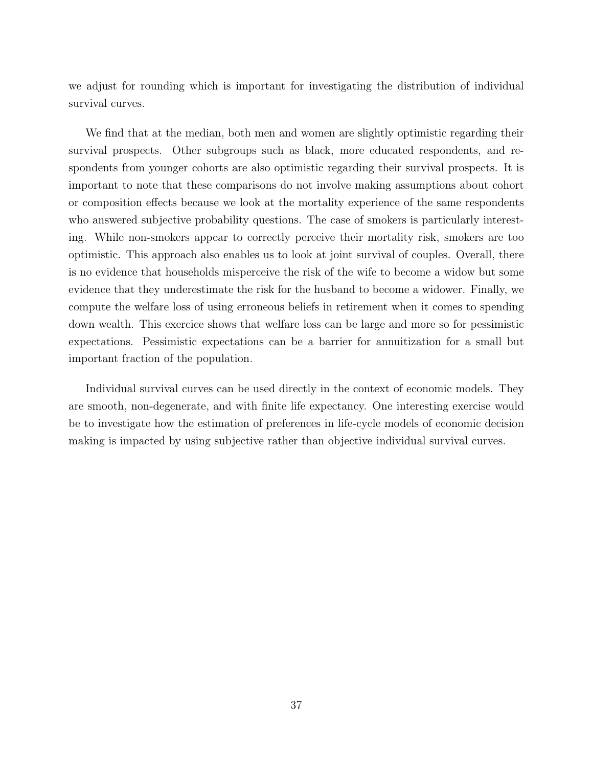we adjust for rounding which is important for investigating the distribution of individual survival curves.

We find that at the median, both men and women are slightly optimistic regarding their survival prospects. Other subgroups such as black, more educated respondents, and respondents from younger cohorts are also optimistic regarding their survival prospects. It is important to note that these comparisons do not involve making assumptions about cohort or composition effects because we look at the mortality experience of the same respondents who answered subjective probability questions. The case of smokers is particularly interesting. While non-smokers appear to correctly perceive their mortality risk, smokers are too optimistic. This approach also enables us to look at joint survival of couples. Overall, there is no evidence that households misperceive the risk of the wife to become a widow but some evidence that they underestimate the risk for the husband to become a widower. Finally, we compute the welfare loss of using erroneous beliefs in retirement when it comes to spending down wealth. This exercice shows that welfare loss can be large and more so for pessimistic expectations. Pessimistic expectations can be a barrier for annuitization for a small but important fraction of the population.

Individual survival curves can be used directly in the context of economic models. They are smooth, non-degenerate, and with finite life expectancy. One interesting exercise would be to investigate how the estimation of preferences in life-cycle models of economic decision making is impacted by using subjective rather than objective individual survival curves.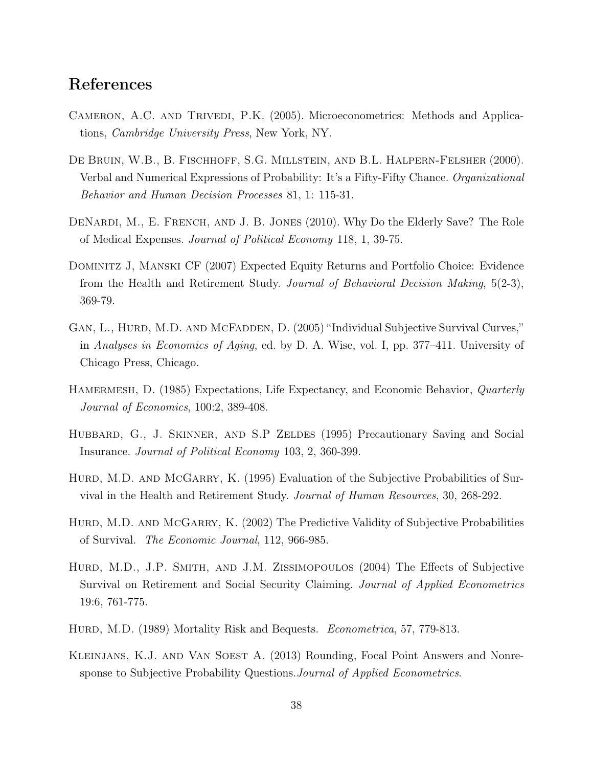# References

- Cameron, A.C. and Trivedi, P.K. (2005). Microeconometrics: Methods and Applications, Cambridge University Press, New York, NY.
- De Bruin, W.B., B. Fischhoff, S.G. Millstein, and B.L. Halpern-Felsher (2000). Verbal and Numerical Expressions of Probability: It's a Fifty-Fifty Chance. Organizational Behavior and Human Decision Processes 81, 1: 115-31.
- DENARDI, M., E. FRENCH, AND J. B. JONES (2010). Why Do the Elderly Save? The Role of Medical Expenses. Journal of Political Economy 118, 1, 39-75.
- Dominitz J, Manski CF (2007) Expected Equity Returns and Portfolio Choice: Evidence from the Health and Retirement Study. Journal of Behavioral Decision Making, 5(2-3), 369-79.
- GAN, L., HURD, M.D. AND MCFADDEN, D. (2005) "Individual Subjective Survival Curves," in Analyses in Economics of Aging, ed. by D. A. Wise, vol. I, pp. 377–411. University of Chicago Press, Chicago.
- HAMERMESH, D. (1985) Expectations, Life Expectancy, and Economic Behavior, *Quarterly* Journal of Economics, 100:2, 389-408.
- HUBBARD, G., J. SKINNER, AND S.P ZELDES (1995) Precautionary Saving and Social Insurance. Journal of Political Economy 103, 2, 360-399.
- HURD, M.D. AND MCGARRY, K. (1995) Evaluation of the Subjective Probabilities of Survival in the Health and Retirement Study. Journal of Human Resources, 30, 268-292.
- HURD, M.D. AND MCGARRY, K. (2002) The Predictive Validity of Subjective Probabilities of Survival. The Economic Journal, 112, 966-985.
- Hurd, M.D., J.P. Smith, and J.M. Zissimopoulos (2004) The Effects of Subjective Survival on Retirement and Social Security Claiming. Journal of Applied Econometrics 19:6, 761-775.
- HURD, M.D. (1989) Mortality Risk and Bequests. *Econometrica*, 57, 779-813.
- Kleinjans, K.J. and Van Soest A. (2013) Rounding, Focal Point Answers and Nonresponse to Subjective Probability Questions. Journal of Applied Econometrics.